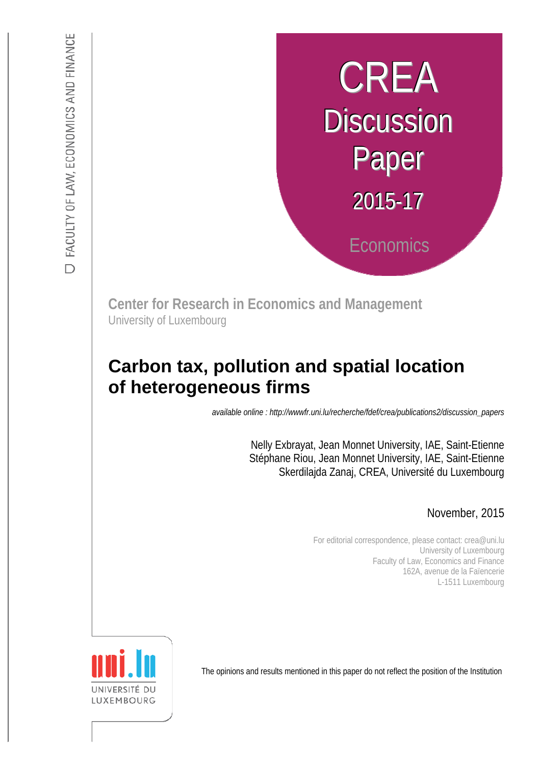# CREA **Discussion** Paper  $2015 - 17$ **Economics**

**Center for Research in Economics and Management** University of Luxembourg

# **Carbon tax, pollution and spatial location of heterogeneous firms**

**IGOUS IIIIIS**<br>*available online : http://wwwfr.uni.lu/recherche/fdef/crea/publications2/discussion\_papers* 

Nelly Exbrayat, Jean Monnet University, IAE, Saint-Etienne Stéphane Riou, Jean Monnet University, IAE, Saint-Etienne Skerdilajda Zanaj, CREA, Université du Luxembourg

November, 2015

For editorial correspondence, please contact: crea@uni.lu University of Luxembourg Faculty of Law, Economics and Finance 162A, avenue de la Faïencerie L-1511 Luxembourg



The opinions and results mentioned in this paper do not reflect the position of the Institution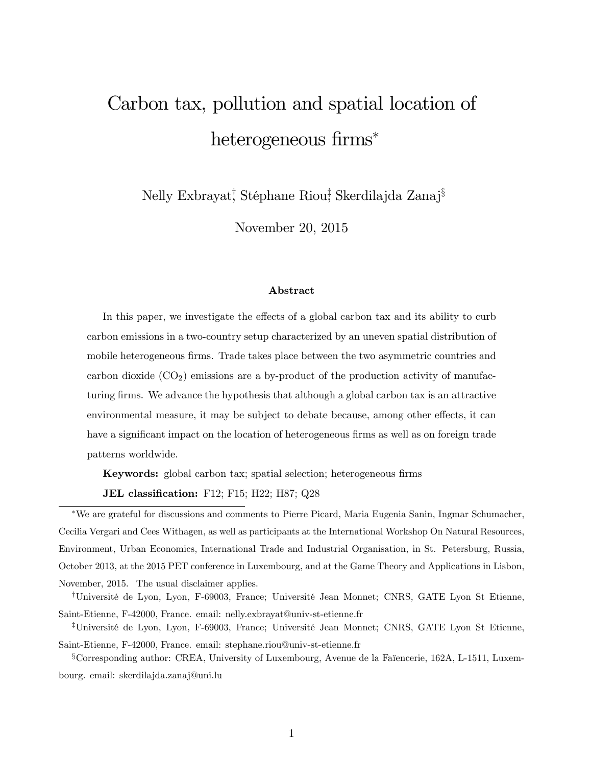# Carbon tax, pollution and spatial location of heterogeneous firms\*

Nelly Exbrayat! Stéphane Riou! Skerdilajda Zanaj<sup>§</sup>

November 20, 2015

#### Abstract

In this paper, we investigate the effects of a global carbon tax and its ability to curb carbon emissions in a two-country setup characterized by an uneven spatial distribution of mobile heterogeneous firms. Trade takes place between the two asymmetric countries and carbon dioxide  $(CO_2)$  emissions are a by-product of the production activity of manufacturing firms. We advance the hypothesis that although a global carbon tax is an attractive environmental measure, it may be subject to debate because, among other effects, it can have a significant impact on the location of heterogeneous firms as well as on foreign trade patterns worldwide.

Keywords: global carbon tax; spatial selection; heterogeneous firms

JEL classification: F12; F15; H22; H87; Q28

We are grateful for discussions and comments to Pierre Picard, Maria Eugenia Sanin, Ingmar Schumacher, Cecilia Vergari and Cees Withagen, as well as participants at the International Workshop On Natural Resources, Environment, Urban Economics, International Trade and Industrial Organisation, in St. Petersburg, Russia, October 2013, at the 2015 PET conference in Luxembourg, and at the Game Theory and Applications in Lisbon, November, 2015. The usual disclaimer applies.

<sup>†</sup>Université de Lyon, Lyon, F-69003, France; Université Jean Monnet; CNRS, GATE Lyon St Etienne, Saint-Etienne, F-42000, France. email: nelly.exbrayat@univ-st-etienne.fr

<sup>‡</sup>Université de Lyon, Lyon, F-69003, France; Université Jean Monnet; CNRS, GATE Lyon St Etienne, Saint-Etienne, F-42000, France. email: stephane.riou@univ-st-etienne.fr

 $^{\circ}$ Corresponding author: CREA, University of Luxembourg, Avenue de la Faïencerie, 162A, L-1511, Luxembourg. email: skerdilajda.zanaj@uni.lu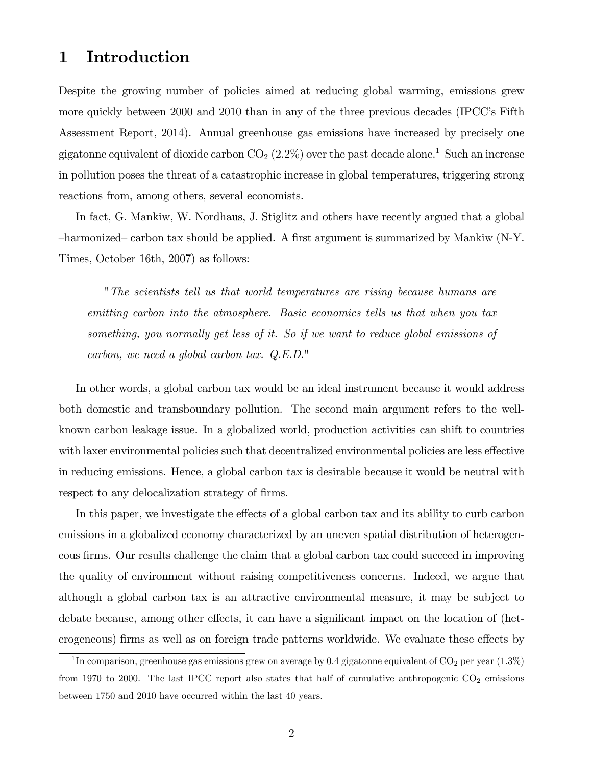# 1 Introduction

Despite the growing number of policies aimed at reducing global warming, emissions grew more quickly between 2000 and 2010 than in any of the three previous decades (IPCC's Fifth Assessment Report, 2014). Annual greenhouse gas emissions have increased by precisely one gigatonne equivalent of dioxide carbon  $CO<sub>2</sub>$  (2.2%) over the past decade alone.<sup>1</sup> Such an increase in pollution poses the threat of a catastrophic increase in global temperatures, triggering strong reactions from, among others, several economists.

In fact, G. Mankiw, W. Nordhaus, J. Stiglitz and others have recently argued that a global harmonized carbon tax should be applied. A first argument is summarized by Mankiw (N-Y. Times, October 16th, 2007) as follows:

"The scientists tell us that world temperatures are rising because humans are emitting carbon into the atmosphere. Basic economics tells us that when you tax something, you normally get less of it. So if we want to reduce global emissions of carbon, we need a global carbon tax. Q.E.D."

In other words, a global carbon tax would be an ideal instrument because it would address both domestic and transboundary pollution. The second main argument refers to the wellknown carbon leakage issue. In a globalized world, production activities can shift to countries with laxer environmental policies such that decentralized environmental policies are less effective in reducing emissions. Hence, a global carbon tax is desirable because it would be neutral with respect to any delocalization strategy of firms.

In this paper, we investigate the effects of a global carbon tax and its ability to curb carbon emissions in a globalized economy characterized by an uneven spatial distribution of heterogeneous firms. Our results challenge the claim that a global carbon tax could succeed in improving the quality of environment without raising competitiveness concerns. Indeed, we argue that although a global carbon tax is an attractive environmental measure, it may be subject to debate because, among other effects, it can have a significant impact on the location of (heterogeneous) firms as well as on foreign trade patterns worldwide. We evaluate these effects by

<sup>&</sup>lt;sup>1</sup>In comparison, greenhouse gas emissions grew on average by 0.4 gigatonne equivalent of CO<sub>2</sub> per year  $(1.3\%)$ from 1970 to 2000. The last IPCC report also states that half of cumulative anthropogenic  $CO_2$  emissions between 1750 and 2010 have occurred within the last 40 years.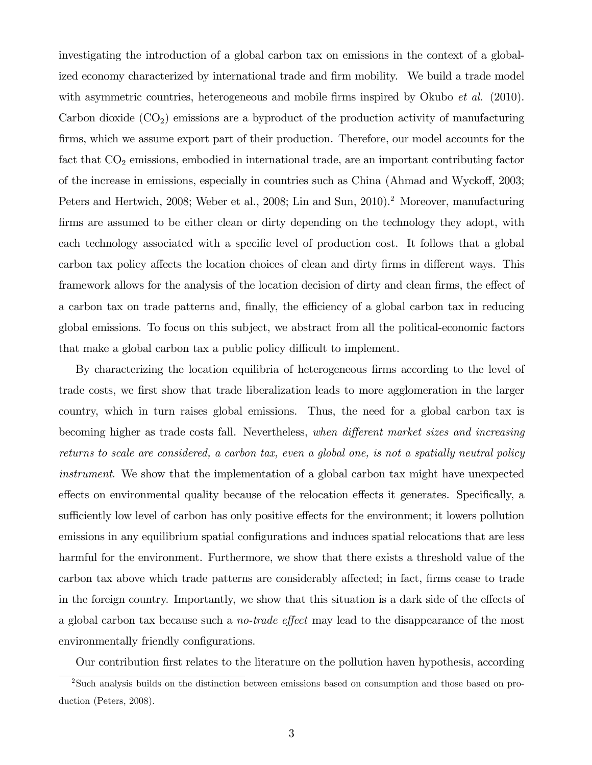investigating the introduction of a global carbon tax on emissions in the context of a globalized economy characterized by international trade and firm mobility. We build a trade model with asymmetric countries, heterogeneous and mobile firms inspired by Okubo  $et \ al.$  (2010). Carbon dioxide  $(CO<sub>2</sub>)$  emissions are a byproduct of the production activity of manufacturing firms, which we assume export part of their production. Therefore, our model accounts for the fact that  $CO<sub>2</sub>$  emissions, embodied in international trade, are an important contributing factor of the increase in emissions, especially in countries such as China (Ahmad and Wyckoff, 2003; Peters and Hertwich, 2008; Weber et al., 2008; Lin and Sun, 2010).<sup>2</sup> Moreover, manufacturing firms are assumed to be either clean or dirty depending on the technology they adopt, with each technology associated with a specific level of production cost. It follows that a global carbon tax policy affects the location choices of clean and dirty firms in different ways. This framework allows for the analysis of the location decision of dirty and clean firms, the effect of a carbon tax on trade patterns and, finally, the efficiency of a global carbon tax in reducing global emissions. To focus on this subject, we abstract from all the political-economic factors that make a global carbon tax a public policy difficult to implement.

By characterizing the location equilibria of heterogeneous firms according to the level of trade costs, we first show that trade liberalization leads to more agglomeration in the larger country, which in turn raises global emissions. Thus, the need for a global carbon tax is becoming higher as trade costs fall. Nevertheless, when different market sizes and increasing returns to scale are considered, a carbon tax, even a global one, is not a spatially neutral policy instrument. We show that the implementation of a global carbon tax might have unexpected effects on environmental quality because of the relocation effects it generates. Specifically, a sufficiently low level of carbon has only positive effects for the environment; it lowers pollution emissions in any equilibrium spatial configurations and induces spatial relocations that are less harmful for the environment. Furthermore, we show that there exists a threshold value of the carbon tax above which trade patterns are considerably affected; in fact, firms cease to trade in the foreign country. Importantly, we show that this situation is a dark side of the effects of a global carbon tax because such a *no-trade effect* may lead to the disappearance of the most environmentally friendly configurations.

Our contribution Örst relates to the literature on the pollution haven hypothesis, according

<sup>2</sup>Such analysis builds on the distinction between emissions based on consumption and those based on production (Peters, 2008).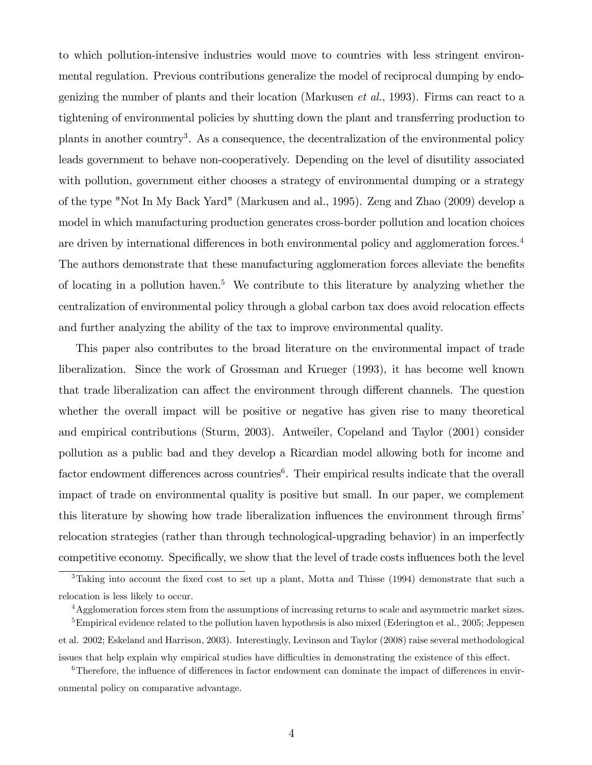to which pollution-intensive industries would move to countries with less stringent environmental regulation. Previous contributions generalize the model of reciprocal dumping by endogenizing the number of plants and their location (Markusen *et al.*, 1993). Firms can react to a tightening of environmental policies by shutting down the plant and transferring production to plants in another country<sup>3</sup>. As a consequence, the decentralization of the environmental policy leads government to behave non-cooperatively. Depending on the level of disutility associated with pollution, government either chooses a strategy of environmental dumping or a strategy of the type "Not In My Back Yard" (Markusen and al., 1995). Zeng and Zhao (2009) develop a model in which manufacturing production generates cross-border pollution and location choices are driven by international differences in both environmental policy and agglomeration forces. $4$ The authors demonstrate that these manufacturing agglomeration forces alleviate the benefits of locating in a pollution haven.<sup>5</sup> We contribute to this literature by analyzing whether the centralization of environmental policy through a global carbon tax does avoid relocation effects and further analyzing the ability of the tax to improve environmental quality.

This paper also contributes to the broad literature on the environmental impact of trade liberalization. Since the work of Grossman and Krueger (1993), it has become well known that trade liberalization can affect the environment through different channels. The question whether the overall impact will be positive or negative has given rise to many theoretical and empirical contributions (Sturm, 2003). Antweiler, Copeland and Taylor (2001) consider pollution as a public bad and they develop a Ricardian model allowing both for income and factor endowment differences across countries<sup>6</sup>. Their empirical results indicate that the overall impact of trade on environmental quality is positive but small. In our paper, we complement this literature by showing how trade liberalization influences the environment through firms' relocation strategies (rather than through technological-upgrading behavior) in an imperfectly competitive economy. Specifically, we show that the level of trade costs influences both the level

 $3$ Taking into account the fixed cost to set up a plant, Motta and Thisse (1994) demonstrate that such a relocation is less likely to occur.

<sup>4</sup>Agglomeration forces stem from the assumptions of increasing returns to scale and asymmetric market sizes.

<sup>&</sup>lt;sup>5</sup>Empirical evidence related to the pollution haven hypothesis is also mixed (Ederington et al., 2005; Jeppesen et al. 2002; Eskeland and Harrison, 2003). Interestingly, Levinson and Taylor (2008) raise several methodological issues that help explain why empirical studies have difficulties in demonstrating the existence of this effect.

 $6$ Therefore, the influence of differences in factor endowment can dominate the impact of differences in environmental policy on comparative advantage.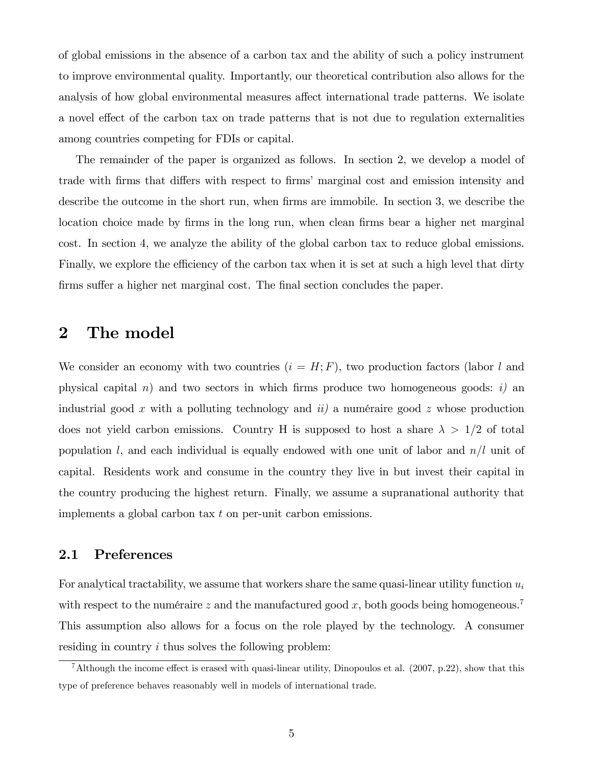of global emissions in the absence of a carbon tax and the ability of such a policy instrument to improve environmental quality. Importantly, our theoretical contribution also allows for the analysis of how global environmental measures affect international trade patterns. We isolate a novel effect of the carbon tax on trade patterns that is not due to regulation externalities among countries competing for FDIs or capital.

The remainder of the paper is organized as follows. In section 2, we develop a model of trade with firms that differs with respect to firms' marginal cost and emission intensity and describe the outcome in the short run, when firms are immobile. In section 3, we describe the location choice made by firms in the long run, when clean firms bear a higher net marginal cost. In section 4, we analyze the ability of the global carbon tax to reduce global emissions. Finally, we explore the efficiency of the carbon tax when it is set at such a high level that dirty firms suffer a higher net marginal cost. The final section concludes the paper.

# 2 The model

We consider an economy with two countries  $(i = H; F)$ , two production factors (labor l and physical capital n) and two sectors in which firms produce two homogeneous goods: i) an industrial good x with a polluting technology and  $ii$ ) a numéraire good z whose production does not yield carbon emissions. Country H is supposed to host a share  $\lambda > 1/2$  of total population l, and each individual is equally endowed with one unit of labor and  $n/l$  unit of capital. Residents work and consume in the country they live in but invest their capital in the country producing the highest return. Finally, we assume a supranational authority that implements a global carbon tax t on per-unit carbon emissions.

#### 2.1 Preferences

For analytical tractability, we assume that workers share the same quasi-linear utility function  $u_i$ with respect to the numéraire z and the manufactured good x, both goods being homogeneous.<sup>7</sup> This assumption also allows for a focus on the role played by the technology. A consumer residing in country i thus solves the following problem:

<sup>&</sup>lt;sup>7</sup>Although the income effect is erased with quasi-linear utility, Dinopoulos et al. (2007, p.22), show that this type of preference behaves reasonably well in models of international trade.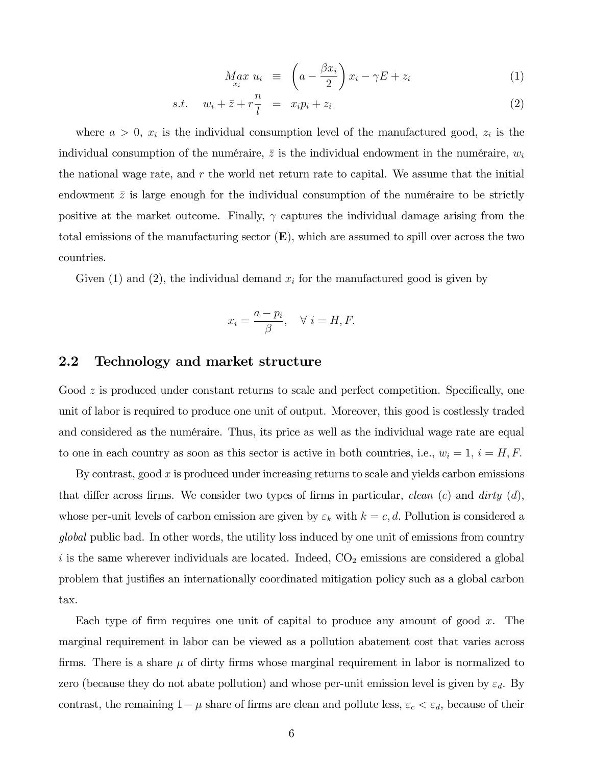$$
M_{x_i}^{\alpha x} u_i \equiv \left( a - \frac{\beta x_i}{2} \right) x_i - \gamma E + z_i \tag{1}
$$

$$
s.t. \t w_i + \bar{z} + r \frac{n}{l} = x_i p_i + z_i \t\t(2)
$$

where  $a > 0$ ,  $x_i$  is the individual consumption level of the manufactured good,  $z_i$  is the individual consumption of the numéraire,  $\bar{z}$  is the individual endowment in the numéraire,  $w_i$ the national wage rate, and  $r$  the world net return rate to capital. We assume that the initial endowment  $\bar{z}$  is large enough for the individual consumption of the numéraire to be strictly positive at the market outcome. Finally,  $\gamma$  captures the individual damage arising from the total emissions of the manufacturing sector  $(E)$ , which are assumed to spill over across the two countries.

Given (1) and (2), the individual demand  $x_i$  for the manufactured good is given by

$$
x_i = \frac{a - p_i}{\beta}, \quad \forall \ i = H, F.
$$

#### 2.2 Technology and market structure

Good  $z$  is produced under constant returns to scale and perfect competition. Specifically, one unit of labor is required to produce one unit of output. Moreover, this good is costlessly traded and considered as the numéraire. Thus, its price as well as the individual wage rate are equal to one in each country as soon as this sector is active in both countries, i.e.,  $w_i = 1$ ,  $i = H, F$ .

By contrast, good  $x$  is produced under increasing returns to scale and yields carbon emissions that differ across firms. We consider two types of firms in particular, clean  $(c)$  and dirty  $(d)$ , whose per-unit levels of carbon emission are given by  $\varepsilon_k$  with  $k = c, d$ . Pollution is considered a global public bad. In other words, the utility loss induced by one unit of emissions from country i is the same wherever individuals are located. Indeed,  $CO<sub>2</sub>$  emissions are considered a global problem that justifies an internationally coordinated mitigation policy such as a global carbon tax.

Each type of firm requires one unit of capital to produce any amount of good  $x$ . The marginal requirement in labor can be viewed as a pollution abatement cost that varies across firms. There is a share  $\mu$  of dirty firms whose marginal requirement in labor is normalized to zero (because they do not abate pollution) and whose per-unit emission level is given by  $\varepsilon_d$ . By contrast, the remaining  $1 - \mu$  share of firms are clean and pollute less,  $\varepsilon_c < \varepsilon_d$ , because of their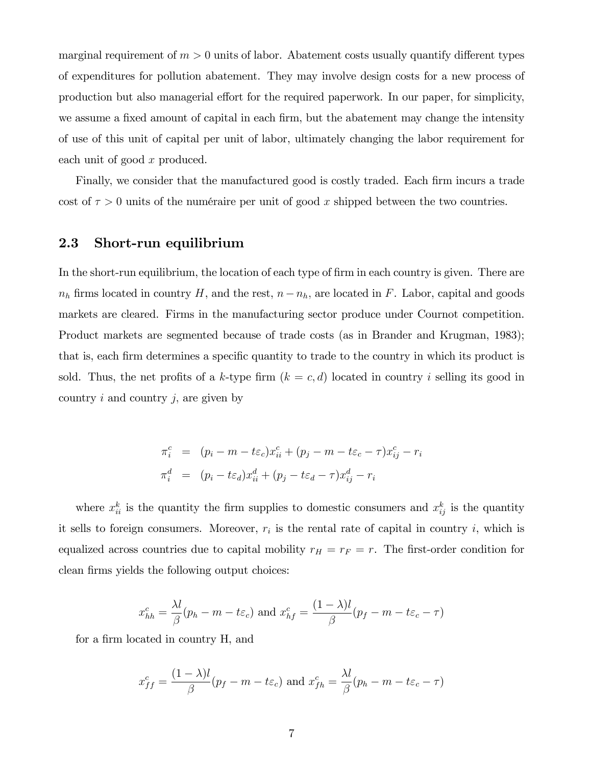marginal requirement of  $m > 0$  units of labor. Abatement costs usually quantify different types of expenditures for pollution abatement. They may involve design costs for a new process of production but also managerial effort for the required paperwork. In our paper, for simplicity, we assume a fixed amount of capital in each firm, but the abatement may change the intensity of use of this unit of capital per unit of labor, ultimately changing the labor requirement for each unit of good x produced.

Finally, we consider that the manufactured good is costly traded. Each firm incurs a trade cost of  $\tau > 0$  units of the numéraire per unit of good x shipped between the two countries.

#### 2.3 Short-run equilibrium

In the short-run equilibrium, the location of each type of firm in each country is given. There are  $n_h$  firms located in country H, and the rest,  $n-n_h$ , are located in F. Labor, capital and goods markets are cleared. Firms in the manufacturing sector produce under Cournot competition. Product markets are segmented because of trade costs (as in Brander and Krugman, 1983); that is, each firm determines a specific quantity to trade to the country in which its product is sold. Thus, the net profits of a k-type firm  $(k = c, d)$  located in country i selling its good in country  $i$  and country  $j$ , are given by

$$
\pi_i^c = (p_i - m - t\varepsilon_c)x_{ii}^c + (p_j - m - t\varepsilon_c - \tau)x_{ij}^c - r_i
$$
  

$$
\pi_i^d = (p_i - t\varepsilon_d)x_{ii}^d + (p_j - t\varepsilon_d - \tau)x_{ij}^d - r_i
$$

where  $x_{ii}^k$  is the quantity the firm supplies to domestic consumers and  $x_{ij}^k$  is the quantity it sells to foreign consumers. Moreover,  $r_i$  is the rental rate of capital in country i, which is equalized across countries due to capital mobility  $r_H = r_F = r$ . The first-order condition for clean firms yields the following output choices:

$$
x_{hh}^c = \frac{\lambda l}{\beta}(p_h - m - t\varepsilon_c) \text{ and } x_{hf}^c = \frac{(1 - \lambda)l}{\beta}(p_f - m - t\varepsilon_c - \tau)
$$

for a firm located in country H, and

$$
x_{ff}^c = \frac{(1 - \lambda)l}{\beta}(p_f - m - t\varepsilon_c) \text{ and } x_{fh}^c = \frac{\lambda l}{\beta}(p_h - m - t\varepsilon_c - \tau)
$$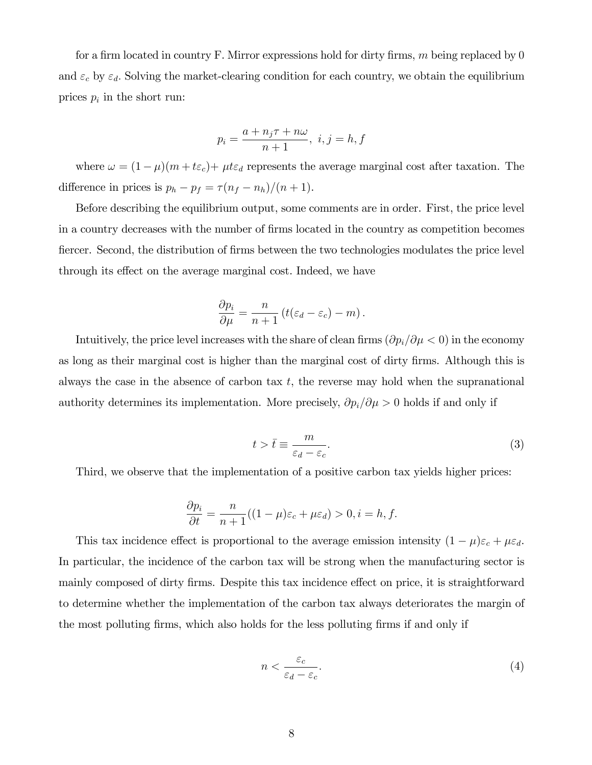for a firm located in country F. Mirror expressions hold for dirty firms,  $m$  being replaced by 0 and  $\varepsilon_c$  by  $\varepsilon_d$ . Solving the market-clearing condition for each country, we obtain the equilibrium prices  $p_i$  in the short run:

$$
p_i = \frac{a + n_j \tau + n\omega}{n+1}, \ i, j = h, f
$$

where  $\omega = (1 - \mu)(m + t\varepsilon_c) + \mu t\varepsilon_d$  represents the average marginal cost after taxation. The difference in prices is  $p_h - p_f = \tau(n_f - n_h)/(n + 1)$ .

Before describing the equilibrium output, some comments are in order. First, the price level in a country decreases with the number of Örms located in the country as competition becomes fiercer. Second, the distribution of firms between the two technologies modulates the price level through its effect on the average marginal cost. Indeed, we have

$$
\frac{\partial p_i}{\partial \mu} = \frac{n}{n+1} \left( t(\varepsilon_d - \varepsilon_c) - m \right).
$$

Intuitively, the price level increases with the share of clean firms  $(\partial p_i/\partial \mu< 0)$  in the economy as long as their marginal cost is higher than the marginal cost of dirty firms. Although this is always the case in the absence of carbon tax  $t$ , the reverse may hold when the supranational authority determines its implementation. More precisely,  $\partial p_i/\partial \mu>0$  holds if and only if

$$
t > \bar{t} \equiv \frac{m}{\varepsilon_d - \varepsilon_c}.\tag{3}
$$

Third, we observe that the implementation of a positive carbon tax yields higher prices:

$$
\frac{\partial p_i}{\partial t} = \frac{n}{n+1}((1-\mu)\varepsilon_c + \mu\varepsilon_d) > 0, i = h, f.
$$

This tax incidence effect is proportional to the average emission intensity  $(1 - \mu)\varepsilon_c + \mu\varepsilon_d$ . In particular, the incidence of the carbon tax will be strong when the manufacturing sector is mainly composed of dirty firms. Despite this tax incidence effect on price, it is straightforward to determine whether the implementation of the carbon tax always deteriorates the margin of the most polluting firms, which also holds for the less polluting firms if and only if

$$
n < \frac{\varepsilon_c}{\varepsilon_d - \varepsilon_c}.\tag{4}
$$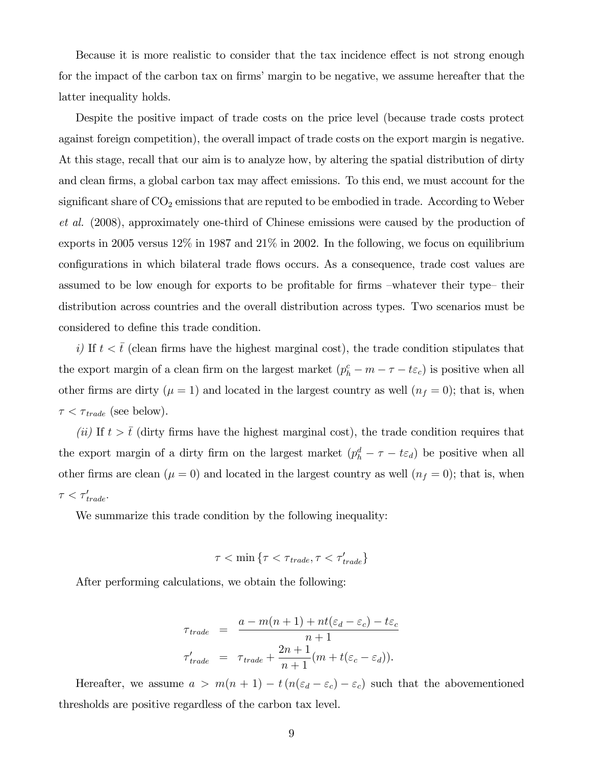Because it is more realistic to consider that the tax incidence effect is not strong enough for the impact of the carbon tax on firms' margin to be negative, we assume hereafter that the latter inequality holds.

Despite the positive impact of trade costs on the price level (because trade costs protect against foreign competition), the overall impact of trade costs on the export margin is negative. At this stage, recall that our aim is to analyze how, by altering the spatial distribution of dirty and clean firms, a global carbon tax may affect emissions. To this end, we must account for the significant share of  $CO_2$  emissions that are reputed to be embodied in trade. According to Weber et al. (2008), approximately one-third of Chinese emissions were caused by the production of exports in 2005 versus 12% in 1987 and 21% in 2002. In the following, we focus on equilibrium configurations in which bilateral trade flows occurs. As a consequence, trade cost values are assumed to be low enough for exports to be profitable for firms –whatever their type– their distribution across countries and the overall distribution across types. Two scenarios must be considered to define this trade condition.

i) If  $t < \bar{t}$  (clean firms have the highest marginal cost), the trade condition stipulates that the export margin of a clean firm on the largest market  $(p_h^c - m - \tau - t\varepsilon_c)$  is positive when all other firms are dirty ( $\mu = 1$ ) and located in the largest country as well ( $n_f = 0$ ); that is, when  $\tau < \tau_{trade}$  (see below).

(ii) If  $t > \bar{t}$  (dirty firms have the highest marginal cost), the trade condition requires that the export margin of a dirty firm on the largest market  $(p_h^d - \tau - t\epsilon_d)$  be positive when all other firms are clean ( $\mu = 0$ ) and located in the largest country as well ( $n_f = 0$ ); that is, when  $\tau < \tau'_{trade}.$ 

We summarize this trade condition by the following inequality:

$$
\tau < \min \left\{ \tau < \tau_{trade}, \tau < \tau_{trade}' \right\}
$$

After performing calculations, we obtain the following:

$$
\tau_{trade} = \frac{a - m(n+1) + nt(\varepsilon_d - \varepsilon_c) - t\varepsilon_c}{n+1}
$$

$$
\tau'_{trade} = \tau_{trade} + \frac{2n+1}{n+1}(m + t(\varepsilon_c - \varepsilon_d)).
$$

Hereafter, we assume  $a > m(n + 1) - t(n(\varepsilon_d - \varepsilon_c) - \varepsilon_c)$  such that the abovementioned thresholds are positive regardless of the carbon tax level.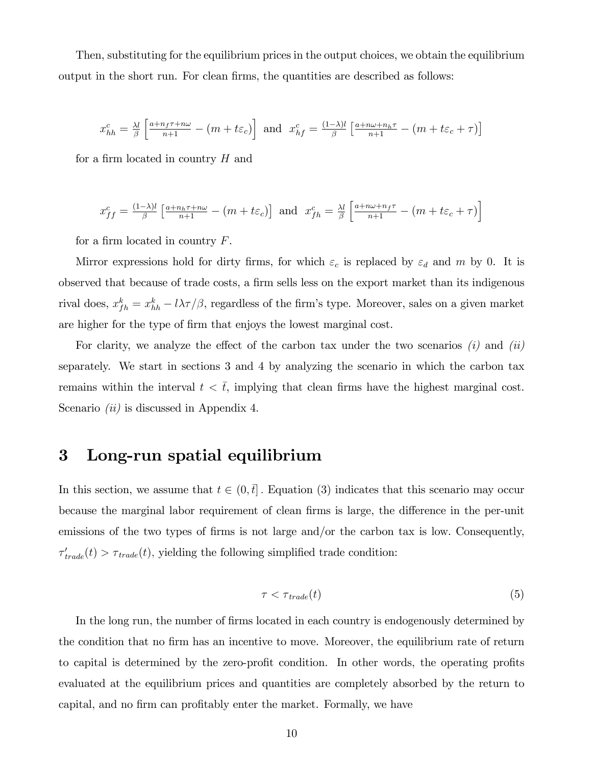Then, substituting for the equilibrium prices in the output choices, we obtain the equilibrium output in the short run. For clean firms, the quantities are described as follows:

$$
x_{hh}^c = \frac{\lambda l}{\beta} \left[ \frac{a + n_f \tau + n\omega}{n+1} - (m + t\varepsilon_c) \right] \text{ and } x_{hf}^c = \frac{(1-\lambda)l}{\beta} \left[ \frac{a + n\omega + n_h \tau}{n+1} - (m + t\varepsilon_c + \tau) \right]
$$

for a firm located in country  $H$  and

$$
x_{ff}^c = \frac{(1-\lambda)l}{\beta} \left[ \frac{a+n_h\tau + n\omega}{n+1} - \left(m + t\varepsilon_c\right) \right] \text{ and } x_{fh}^c = \frac{\lambda l}{\beta} \left[ \frac{a+n\omega + n_f\tau}{n+1} - \left(m + t\varepsilon_c + \tau\right) \right]
$$

for a firm located in country  $F$ .

Mirror expressions hold for dirty firms, for which  $\varepsilon_c$  is replaced by  $\varepsilon_d$  and m by 0. It is observed that because of trade costs, a firm sells less on the export market than its indigenous rival does,  $x_{fh}^k = x_{hh}^k - l\lambda\tau/\beta$ , regardless of the firm's type. Moreover, sales on a given market are higher for the type of firm that enjoys the lowest marginal cost.

For clarity, we analyze the effect of the carbon tax under the two scenarios  $(i)$  and  $(ii)$ separately. We start in sections 3 and 4 by analyzing the scenario in which the carbon tax remains within the interval  $t < \bar{t}$ , implying that clean firms have the highest marginal cost. Scenario *(ii)* is discussed in Appendix 4.

## 3 Long-run spatial equilibrium

In this section, we assume that  $t \in (0, \bar{t}]$ . Equation (3) indicates that this scenario may occur because the marginal labor requirement of clean firms is large, the difference in the per-unit emissions of the two types of firms is not large and/or the carbon tax is low. Consequently,  $\tau'_{trade}(t) > \tau_{trade}(t)$ , yielding the following simplified trade condition:

$$
\tau < \tau_{\text{trade}}(t) \tag{5}
$$

In the long run, the number of firms located in each country is endogenously determined by the condition that no firm has an incentive to move. Moreover, the equilibrium rate of return to capital is determined by the zero-profit condition. In other words, the operating profits evaluated at the equilibrium prices and quantities are completely absorbed by the return to capital, and no firm can profitably enter the market. Formally, we have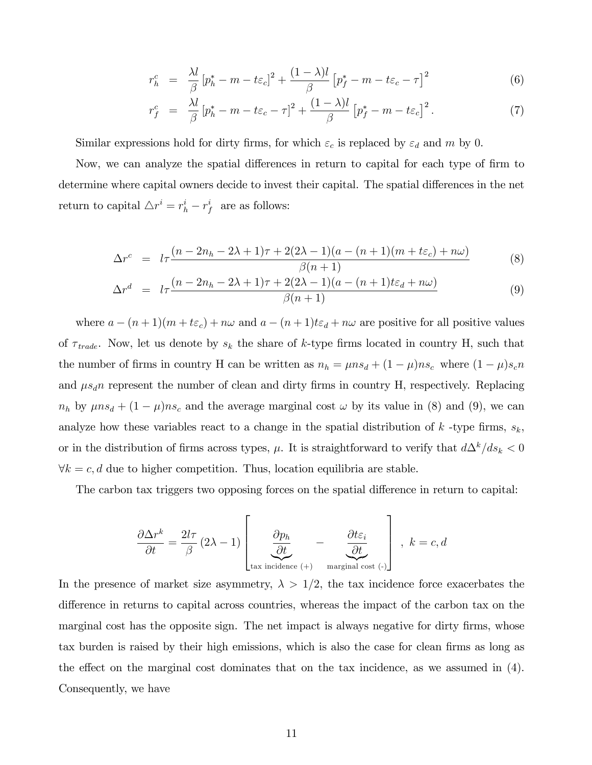$$
r_h^c = \frac{\lambda l}{\beta} \left[ p_h^* - m - t \varepsilon_c \right]^2 + \frac{(1 - \lambda)l}{\beta} \left[ p_f^* - m - t \varepsilon_c - \tau \right]^2 \tag{6}
$$

$$
r_f^c = \frac{\lambda l}{\beta} \left[ p_h^* - m - t \varepsilon_c - \tau \right]^2 + \frac{(1 - \lambda)l}{\beta} \left[ p_f^* - m - t \varepsilon_c \right]^2. \tag{7}
$$

Similar expressions hold for dirty firms, for which  $\varepsilon_c$  is replaced by  $\varepsilon_d$  and m by 0.

Now, we can analyze the spatial differences in return to capital for each type of firm to determine where capital owners decide to invest their capital. The spatial differences in the net return to capital  $\Delta r^i = r_h^i - r_f^i$  are as follows:

$$
\Delta r^{c} = l\tau \frac{(n-2n_h-2\lambda+1)\tau + 2(2\lambda-1)(a-(n+1)(m+t\varepsilon_c)+n\omega)}{\beta(n+1)}
$$
(8)

$$
\Delta r^d = l\tau \frac{(n-2n_h - 2\lambda + 1)\tau + 2(2\lambda - 1)(a - (n+1)t\varepsilon_d + n\omega)}{\beta(n+1)}
$$
(9)

where  $a - (n + 1)(m + t\varepsilon_c) + n\omega$  and  $a - (n + 1)t\varepsilon_d + n\omega$  are positive for all positive values of  $\tau_{trade}$ . Now, let us denote by  $s_k$  the share of k-type firms located in country H, such that the number of firms in country H can be written as  $n_h = \mu n s_d + (1 - \mu) n s_c$  where  $(1 - \mu) s_c n$ and  $\mu s_d n$  represent the number of clean and dirty firms in country H, respectively. Replacing  $n_h$  by  $\mu n s_d + (1 - \mu) n s_c$  and the average marginal cost  $\omega$  by its value in (8) and (9), we can analyze how these variables react to a change in the spatial distribution of k-type firms,  $s_k$ , or in the distribution of firms across types,  $\mu$ . It is straightforward to verify that  $d\Delta^k/ds_k < 0$  $\forall k = c, d$  due to higher competition. Thus, location equilibria are stable.

The carbon tax triggers two opposing forces on the spatial difference in return to capital:

$$
\frac{\partial \Delta r^k}{\partial t} = \frac{2l\tau}{\beta} (2\lambda - 1) \begin{bmatrix} \frac{\partial p_h}{\partial t} & -\frac{\partial t \varepsilon_i}{\partial t} \\ \frac{\partial \omega}{\partial t} & \frac{\partial \omega}{\partial t} \end{bmatrix}, \ k = c, d
$$

In the presence of market size asymmetry,  $\lambda > 1/2$ , the tax incidence force exacerbates the difference in returns to capital across countries, whereas the impact of the carbon tax on the marginal cost has the opposite sign. The net impact is always negative for dirty firms, whose tax burden is raised by their high emissions, which is also the case for clean firms as long as the effect on the marginal cost dominates that on the tax incidence, as we assumed in  $(4)$ . Consequently, we have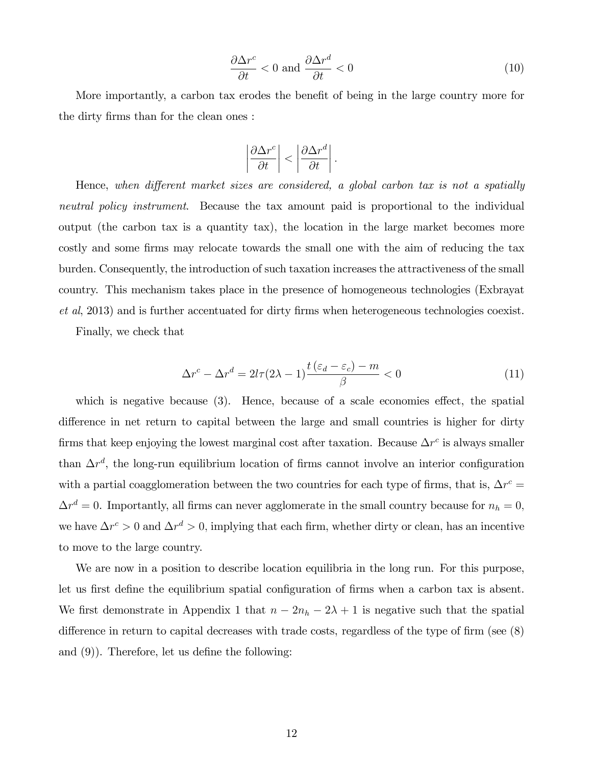$$
\frac{\partial \Delta r^c}{\partial t} < 0 \text{ and } \frac{\partial \Delta r^d}{\partial t} < 0 \tag{10}
$$

More importantly, a carbon tax erodes the benefit of being in the large country more for the dirty firms than for the clean ones :

$$
\left|\frac{\partial \Delta r^c}{\partial t}\right| < \left|\frac{\partial \Delta r^d}{\partial t}\right|.
$$

Hence, when different market sizes are considered, a global carbon tax is not a spatially neutral policy instrument. Because the tax amount paid is proportional to the individual output (the carbon tax is a quantity tax), the location in the large market becomes more costly and some firms may relocate towards the small one with the aim of reducing the tax burden. Consequently, the introduction of such taxation increases the attractiveness of the small country. This mechanism takes place in the presence of homogeneous technologies (Exbrayat  $et al, 2013$  and is further accentuated for dirty firms when heterogeneous technologies coexist.

Finally, we check that

$$
\Delta r^{c} - \Delta r^{d} = 2l\tau (2\lambda - 1) \frac{t(\varepsilon_{d} - \varepsilon_{c}) - m}{\beta} < 0
$$
\n(11)

which is negative because  $(3)$ . Hence, because of a scale economies effect, the spatial difference in net return to capital between the large and small countries is higher for dirty firms that keep enjoying the lowest marginal cost after taxation. Because  $\Delta r^c$  is always smaller than  $\Delta r^d$ , the long-run equilibrium location of firms cannot involve an interior configuration with a partial coagglomeration between the two countries for each type of firms, that is,  $\Delta r^c$  =  $\Delta r^d = 0$ . Importantly, all firms can never agglomerate in the small country because for  $n_h = 0$ , we have  $\Delta r^c > 0$  and  $\Delta r^d > 0$ , implying that each firm, whether dirty or clean, has an incentive to move to the large country.

We are now in a position to describe location equilibria in the long run. For this purpose, let us first define the equilibrium spatial configuration of firms when a carbon tax is absent. We first demonstrate in Appendix 1 that  $n - 2n_h - 2\lambda + 1$  is negative such that the spatial difference in return to capital decreases with trade costs, regardless of the type of firm (see  $(8)$ ) and  $(9)$ ). Therefore, let us define the following: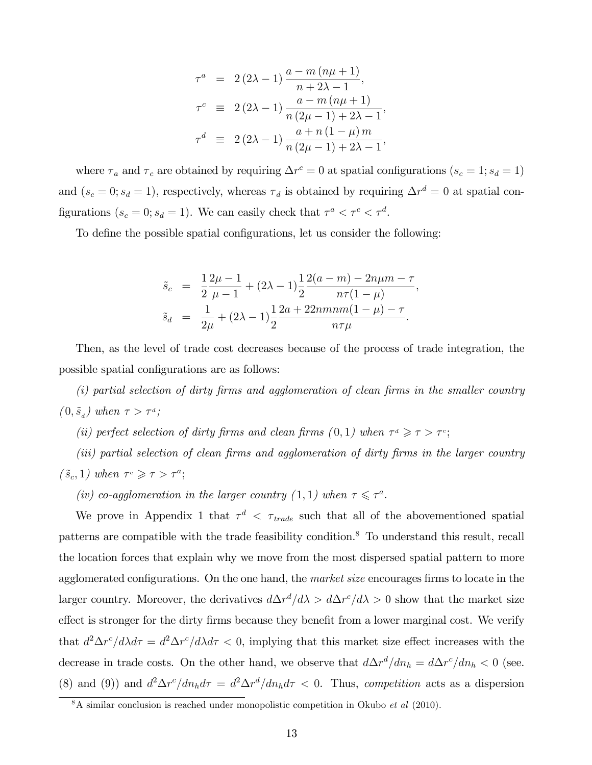$$
\tau^{a} = 2(2\lambda - 1) \frac{a - m(n\mu + 1)}{n + 2\lambda - 1},
$$
  
\n
$$
\tau^{c} \equiv 2(2\lambda - 1) \frac{a - m(n\mu + 1)}{n(2\mu - 1) + 2\lambda - 1},
$$
  
\n
$$
\tau^{d} \equiv 2(2\lambda - 1) \frac{a + n(1 - \mu)m}{n(2\mu - 1) + 2\lambda - 1},
$$

where  $\tau_a$  and  $\tau_c$  are obtained by requiring  $\Delta r^c = 0$  at spatial configurations  $(s_c = 1; s_d = 1)$ and  $(s_c = 0; s_d = 1)$ , respectively, whereas  $\tau_d$  is obtained by requiring  $\Delta r^d = 0$  at spatial configurations  $(s_c = 0; s_d = 1)$ . We can easily check that  $\tau^a < \tau^c < \tau^d$ .

To define the possible spatial configurations, let us consider the following:

$$
\tilde{s}_{c} = \frac{1}{2} \frac{2\mu - 1}{\mu - 1} + (2\lambda - 1) \frac{1}{2} \frac{2(a - m) - 2n\mu m - \tau}{n\tau (1 - \mu)},
$$
  

$$
\tilde{s}_{d} = \frac{1}{2\mu} + (2\lambda - 1) \frac{1}{2} \frac{2a + 22mmm(1 - \mu) - \tau}{n\tau \mu}.
$$

Then, as the level of trade cost decreases because of the process of trade integration, the possible spatial configurations are as follows:

 $(i)$  partial selection of dirty firms and agglomeration of clean firms in the smaller country  $(0, \tilde{s}_d)$  when  $\tau > \tau^d$ ;

(ii) perfect selection of dirty firms and clean firms  $(0,1)$  when  $\tau^d \geq \tau > \tau^c$ ;

 $(iii)$  partial selection of clean firms and agglomeration of dirty firms in the larger country  $(\tilde{s}_c, 1)$  when  $\tau^c \geq \tau > \tau^a$ ;

(iv) co-agglomeration in the larger country (1, 1) when  $\tau \leq \tau^a$ .

We prove in Appendix 1 that  $\tau^d$  <  $\tau_{trade}$  such that all of the abovementioned spatial patterns are compatible with the trade feasibility condition.<sup>8</sup> To understand this result, recall the location forces that explain why we move from the most dispersed spatial pattern to more agglomerated configurations. On the one hand, the *market size* encourages firms to locate in the larger country. Moreover, the derivatives  $d\Delta r^d/d\lambda > d\Delta r^c/d\lambda > 0$  show that the market size effect is stronger for the dirty firms because they benefit from a lower marginal cost. We verify that  $d^2\Delta r^c/d\lambda d\tau = d^2\Delta r^c/d\lambda d\tau < 0$ , implying that this market size effect increases with the decrease in trade costs. On the other hand, we observe that  $d\Delta r^d/dn_h = d\Delta r^c/dn_h < 0$  (see. (8) and (9)) and  $d^2\Delta r^c/dn_hd\tau = d^2\Delta r^d/dn_hd\tau < 0$ . Thus, competition acts as a dispersion

 $8A$  similar conclusion is reached under monopolistic competition in Okubo *et al* (2010).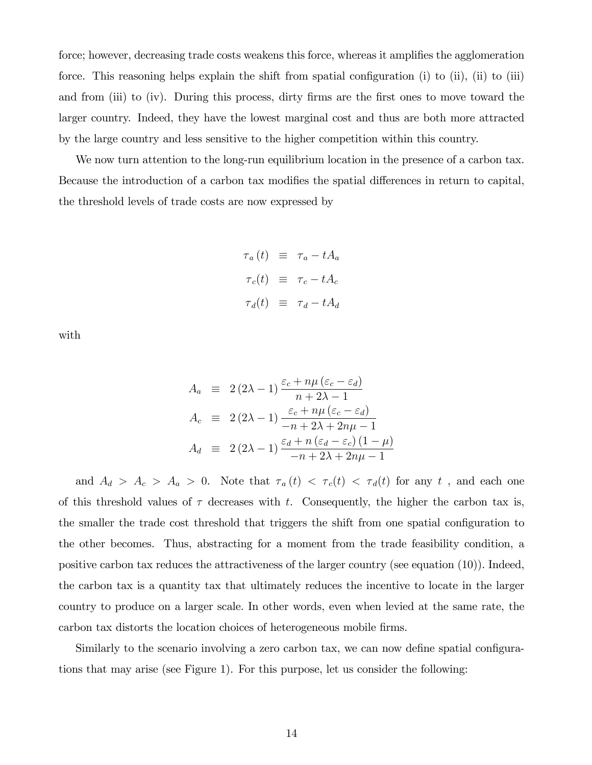force; however, decreasing trade costs weakens this force, whereas it amplifies the agglomeration force. This reasoning helps explain the shift from spatial configuration (i) to (ii), (ii) to (iii) and from (iii) to (iv). During this process, dirty firms are the first ones to move toward the larger country. Indeed, they have the lowest marginal cost and thus are both more attracted by the large country and less sensitive to the higher competition within this country.

We now turn attention to the long-run equilibrium location in the presence of a carbon tax. Because the introduction of a carbon tax modifies the spatial differences in return to capital, the threshold levels of trade costs are now expressed by

$$
\tau_a(t) \equiv \tau_a - tA_a
$$
  

$$
\tau_c(t) \equiv \tau_c - tA_c
$$
  

$$
\tau_d(t) \equiv \tau_d - tA_d
$$

with

$$
A_a \equiv 2(2\lambda - 1) \frac{\varepsilon_c + n\mu (\varepsilon_c - \varepsilon_d)}{n + 2\lambda - 1}
$$
  
\n
$$
A_c \equiv 2(2\lambda - 1) \frac{\varepsilon_c + n\mu (\varepsilon_c - \varepsilon_d)}{-n + 2\lambda + 2n\mu - 1}
$$
  
\n
$$
A_d \equiv 2(2\lambda - 1) \frac{\varepsilon_d + n(\varepsilon_d - \varepsilon_c)(1 - \mu)}{-n + 2\lambda + 2n\mu - 1}
$$

and  $A_d > A_c > A_a > 0$ . Note that  $\tau_a(t) < \tau_c(t) < \tau_d(t)$  for any t, and each one of this threshold values of  $\tau$  decreases with t. Consequently, the higher the carbon tax is, the smaller the trade cost threshold that triggers the shift from one spatial configuration to the other becomes. Thus, abstracting for a moment from the trade feasibility condition, a positive carbon tax reduces the attractiveness of the larger country (see equation (10)). Indeed, the carbon tax is a quantity tax that ultimately reduces the incentive to locate in the larger country to produce on a larger scale. In other words, even when levied at the same rate, the carbon tax distorts the location choices of heterogeneous mobile firms.

Similarly to the scenario involving a zero carbon tax, we can now define spatial configurations that may arise (see Figure 1). For this purpose, let us consider the following: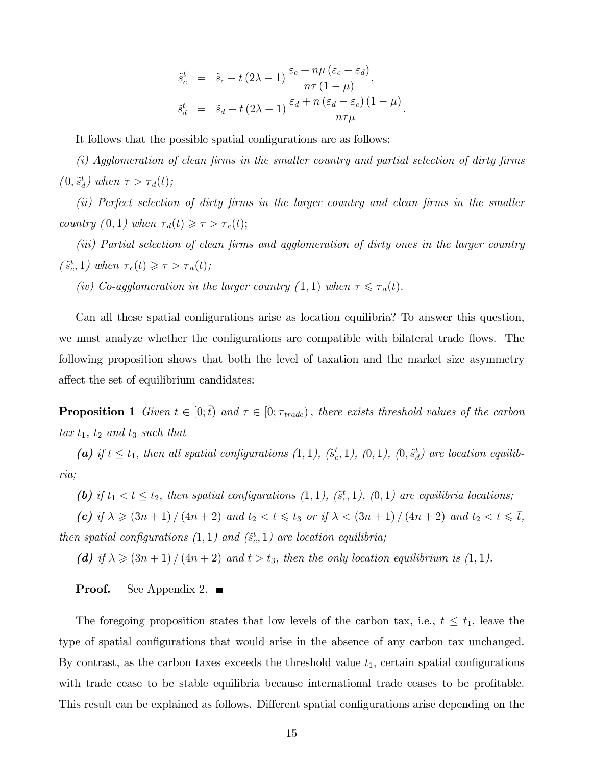$$
\tilde{s}_{c}^{t} = \tilde{s}_{c} - t (2\lambda - 1) \frac{\varepsilon_{c} + n\mu (\varepsilon_{c} - \varepsilon_{d})}{n\tau (1 - \mu)},
$$
  

$$
\tilde{s}_{d}^{t} = \tilde{s}_{d} - t (2\lambda - 1) \frac{\varepsilon_{d} + n (\varepsilon_{d} - \varepsilon_{c}) (1 - \mu)}{n\tau \mu}.
$$

It follows that the possible spatial configurations are as follows:

 $(i)$  Agglomeration of clean firms in the smaller country and partial selection of dirty firms  $(0, \tilde{s}_d^t)$  when  $\tau > \tau_d(t);$ 

 $(ii)$  Perfect selection of dirty firms in the larger country and clean firms in the smaller country  $(0,1)$  when  $\tau_d(t) \geq \tau > \tau_c(t);$ 

 $(iii)$  Partial selection of clean firms and agglomeration of dirty ones in the larger country  $(\tilde{s}_c^t, 1)$  when  $\tau_c(t) \geq \tau > \tau_a(t);$ 

(iv) Co-agglomeration in the larger country (1,1) when  $\tau \leq \tau_a(t)$ .

Can all these spatial configurations arise as location equilibria? To answer this question, we must analyze whether the configurations are compatible with bilateral trade flows. The following proposition shows that both the level of taxation and the market size asymmetry affect the set of equilibrium candidates:

**Proposition 1** Given  $t \in [0;\bar{t})$  and  $\tau \in [0;\tau_{\text{trade}})$ , there exists threshold values of the carbon  $\tan t_1$ ,  $t_2$  and  $t_3$  such that

(a) if  $t \le t_1$ , then all spatial configurations  $(1,1)$ ,  $(\tilde{s}^t_c,1)$ ,  $(0,1)$ ,  $(0,\tilde{s}^t_d)$  are location equilibria;

(b) if  $t_1 < t \le t_2$ , then spatial configurations  $(1, 1)$ ,  $(\tilde{s}^t_c, 1)$ ,  $(0, 1)$  are equilibria locations;

(c) if  $\lambda \geq (3n + 1) / (4n + 2)$  and  $t_2 < t \leq t_3$  or if  $\lambda < (3n + 1) / (4n + 2)$  and  $t_2 < t \leq \overline{t}$ , then spatial configurations  $(1,1)$  and  $(\tilde{s}^t_c,1)$  are location equilibria;

(d) if  $\lambda \geq (3n+1)/(4n+2)$  and  $t > t_3$ , then the only location equilibrium is  $(1, 1)$ .

#### **Proof.** See Appendix 2.  $\blacksquare$

The foregoing proposition states that low levels of the carbon tax, i.e.,  $t \leq t_1$ , leave the type of spatial configurations that would arise in the absence of any carbon tax unchanged. By contrast, as the carbon taxes exceeds the threshold value  $t_1$ , certain spatial configurations with trade cease to be stable equilibria because international trade ceases to be profitable. This result can be explained as follows. Different spatial configurations arise depending on the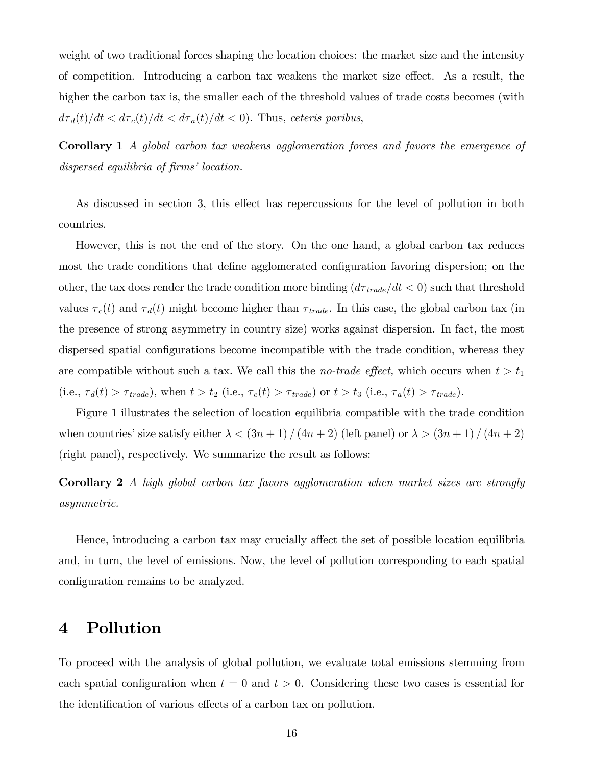weight of two traditional forces shaping the location choices: the market size and the intensity of competition. Introducing a carbon tax weakens the market size effect. As a result, the higher the carbon tax is, the smaller each of the threshold values of trade costs becomes (with  $d\tau_d(t)/dt < d\tau_c(t)/dt < d\tau_a(t)/dt < 0$ . Thus, ceteris paribus,

Corollary 1 A global carbon tax weakens agglomeration forces and favors the emergence of dispersed equilibria of firms' location.

As discussed in section 3, this effect has repercussions for the level of pollution in both countries.

However, this is not the end of the story. On the one hand, a global carbon tax reduces most the trade conditions that define agglomerated configuration favoring dispersion; on the other, the tax does render the trade condition more binding  $(d\tau_{trade}/dt < 0)$  such that threshold values  $\tau_c(t)$  and  $\tau_d(t)$  might become higher than  $\tau_{trade}$ . In this case, the global carbon tax (in the presence of strong asymmetry in country size) works against dispersion. In fact, the most dispersed spatial configurations become incompatible with the trade condition, whereas they are compatible without such a tax. We call this the *no-trade effect*, which occurs when  $t > t_1$ (i.e.,  $\tau_d(t) > \tau_{trade}$ ), when  $t > t_2$  (i.e.,  $\tau_c(t) > \tau_{trade}$ ) or  $t > t_3$  (i.e.,  $\tau_a(t) > \tau_{trade}$ ).

Figure 1 illustrates the selection of location equilibria compatible with the trade condition when countries' size satisfy either  $\lambda < (3n+1)/(4n+2)$  (left panel) or  $\lambda > (3n+1)/(4n+2)$ (right panel), respectively. We summarize the result as follows:

Corollary 2 A high global carbon tax favors agglomeration when market sizes are strongly asymmetric.

Hence, introducing a carbon tax may crucially affect the set of possible location equilibria and, in turn, the level of emissions. Now, the level of pollution corresponding to each spatial configuration remains to be analyzed.

## 4 Pollution

To proceed with the analysis of global pollution, we evaluate total emissions stemming from each spatial configuration when  $t = 0$  and  $t > 0$ . Considering these two cases is essential for the identification of various effects of a carbon tax on pollution.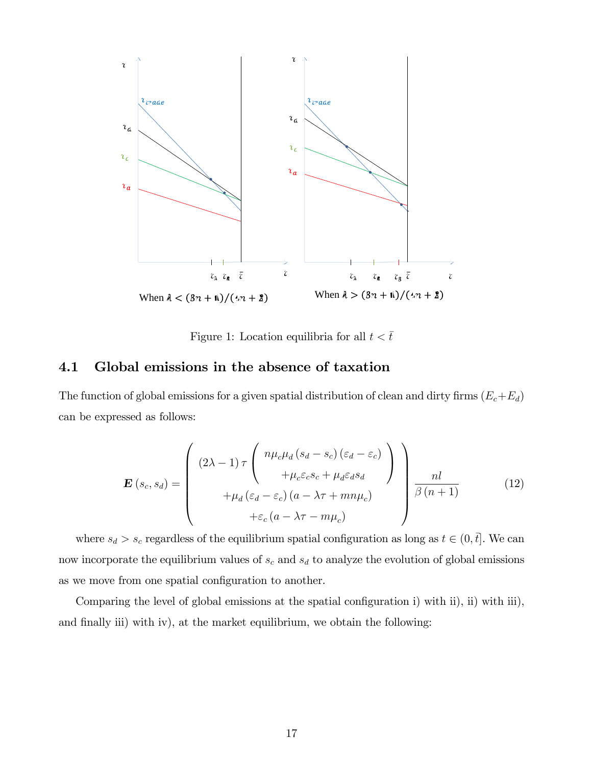

Figure 1: Location equilibria for all  $t < \bar{t}$ 

#### 4.1 Global emissions in the absence of taxation

The function of global emissions for a given spatial distribution of clean and dirty firms  $(E_c+E_d)$ can be expressed as follows:

$$
\mathbf{E}\left(s_c, s_d\right) = \begin{pmatrix} (2\lambda - 1)\tau \begin{pmatrix} n\mu_c\mu_d\left(s_d - s_c\right)\left(\varepsilon_d - \varepsilon_c\right) \\ + \mu_c\varepsilon_c s_c + \mu_d\varepsilon_d s_d \\ + \mu_d\left(\varepsilon_d - \varepsilon_c\right)\left(a - \lambda\tau + mn\mu_c\right) \end{pmatrix} \frac{nl}{\beta\left(n+1\right)} \qquad (12)
$$
  
 
$$
+ \varepsilon_c\left(a - \lambda\tau - m\mu_c\right)
$$

where  $s_d > s_c$  regardless of the equilibrium spatial configuration as long as  $t \in (0, \bar{t}]$ . We can now incorporate the equilibrium values of  $s_c$  and  $s_d$  to analyze the evolution of global emissions as we move from one spatial configuration to another.

Comparing the level of global emissions at the spatial configuration i) with ii), ii) with iii), and finally iii) with iv), at the market equilibrium, we obtain the following: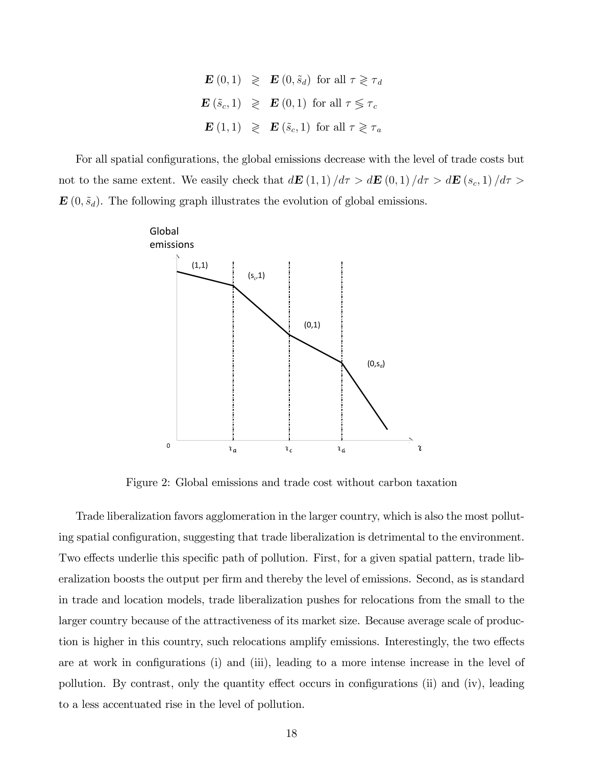$\mathbf{E}\left(0,1\right) \geqslant \mathbf{E}\left(0,\tilde{s}_d\right) \text{ for all } \tau \geqslant \tau_d$  $\mathbf{E}\left(\tilde{s}_c, 1\right) \geqslant \mathbf{E}\left(0, 1\right) \text{ for all } \tau \leqslant \tau_c$  $\mathbf{E}(1,1) \geqslant \mathbf{E}(\tilde{s}_c,1)$  for all  $\tau \geqslant \tau_a$ 

For all spatial configurations, the global emissions decrease with the level of trade costs but not to the same extent. We easily check that  $d\mathbf{E}$  (1, 1)  $/d\tau > d\mathbf{E}$  (0, 1)  $/d\tau > d\mathbf{E}$  (s<sub>c</sub>, 1)  $/d\tau >$  $\mathbf{E}(0,\tilde{s}_d)$ . The following graph illustrates the evolution of global emissions.



Figure 2: Global emissions and trade cost without carbon taxation

Trade liberalization favors agglomeration in the larger country, which is also the most polluting spatial configuration, suggesting that trade liberalization is detrimental to the environment. Two effects underlie this specific path of pollution. First, for a given spatial pattern, trade liberalization boosts the output per firm and thereby the level of emissions. Second, as is standard in trade and location models, trade liberalization pushes for relocations from the small to the larger country because of the attractiveness of its market size. Because average scale of production is higher in this country, such relocations amplify emissions. Interestingly, the two effects are at work in configurations (i) and (iii), leading to a more intense increase in the level of pollution. By contrast, only the quantity effect occurs in configurations (ii) and (iv), leading to a less accentuated rise in the level of pollution.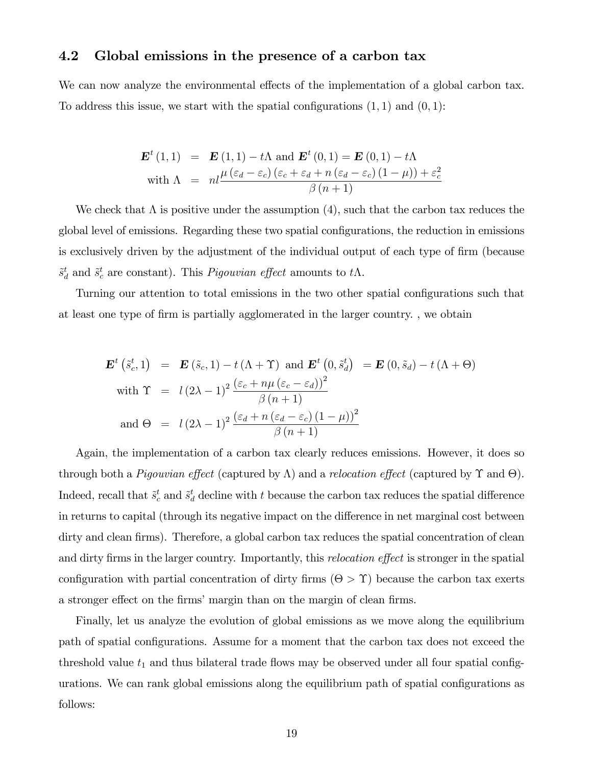#### 4.2 Global emissions in the presence of a carbon tax

We can now analyze the environmental effects of the implementation of a global carbon tax. To address this issue, we start with the spatial configurations  $(1, 1)$  and  $(0, 1)$ :

$$
\mathbf{E}^{t} (1,1) = \mathbf{E} (1,1) - t\Lambda \text{ and } \mathbf{E}^{t} (0,1) = \mathbf{E} (0,1) - t\Lambda
$$
  
with  $\Lambda = nl \frac{\mu (\varepsilon_{d} - \varepsilon_{c}) (\varepsilon_{c} + \varepsilon_{d} + n (\varepsilon_{d} - \varepsilon_{c}) (1 - \mu)) + \varepsilon_{c}^{2}}{\beta (n + 1)}$ 

We check that  $\Lambda$  is positive under the assumption (4), such that the carbon tax reduces the global level of emissions. Regarding these two spatial configurations, the reduction in emissions is exclusively driven by the adjustment of the individual output of each type of firm (because  $\tilde{s}^t_d$  and  $\tilde{s}^t_c$  are constant). This *Pigouvian effect* amounts to  $t\Lambda$ .

Turning our attention to total emissions in the two other spatial configurations such that at least one type of firm is partially agglomerated in the larger country., we obtain

$$
\mathbf{E}^{t} \left( \tilde{s}_{c}^{t}, 1 \right) = \mathbf{E} \left( \tilde{s}_{c}, 1 \right) - t \left( \Lambda + \Upsilon \right) \text{ and } \mathbf{E}^{t} \left( 0, \tilde{s}_{d}^{t} \right) = \mathbf{E} \left( 0, \tilde{s}_{d} \right) - t \left( \Lambda + \Theta \right)
$$
\n
$$
\text{with } \Upsilon = l \left( 2\lambda - 1 \right)^{2} \frac{\left( \varepsilon_{c} + n\mu \left( \varepsilon_{c} - \varepsilon_{d} \right) \right)^{2}}{\beta \left( n + 1 \right)}
$$
\n
$$
\text{and } \Theta = l \left( 2\lambda - 1 \right)^{2} \frac{\left( \varepsilon_{d} + n \left( \varepsilon_{d} - \varepsilon_{c} \right) \left( 1 - \mu \right) \right)^{2}}{\beta \left( n + 1 \right)}
$$

Again, the implementation of a carbon tax clearly reduces emissions. However, it does so through both a *Pigouvian effect* (captured by  $\Lambda$ ) and a *relocation effect* (captured by  $\Upsilon$  and  $\Theta$ ). Indeed, recall that  $\tilde{s}^t_c$  and  $\tilde{s}^t_d$  decline with t because the carbon tax reduces the spatial difference in returns to capital (through its negative impact on the difference in net marginal cost between dirty and clean firms). Therefore, a global carbon tax reduces the spatial concentration of clean and dirty firms in the larger country. Importantly, this *relocation effect* is stronger in the spatial configuration with partial concentration of dirty firms  $(\Theta > \Upsilon)$  because the carbon tax exerts a stronger effect on the firms' margin than on the margin of clean firms.

Finally, let us analyze the evolution of global emissions as we move along the equilibrium path of spatial configurations. Assume for a moment that the carbon tax does not exceed the threshold value  $t_1$  and thus bilateral trade flows may be observed under all four spatial configurations. We can rank global emissions along the equilibrium path of spatial configurations as follows: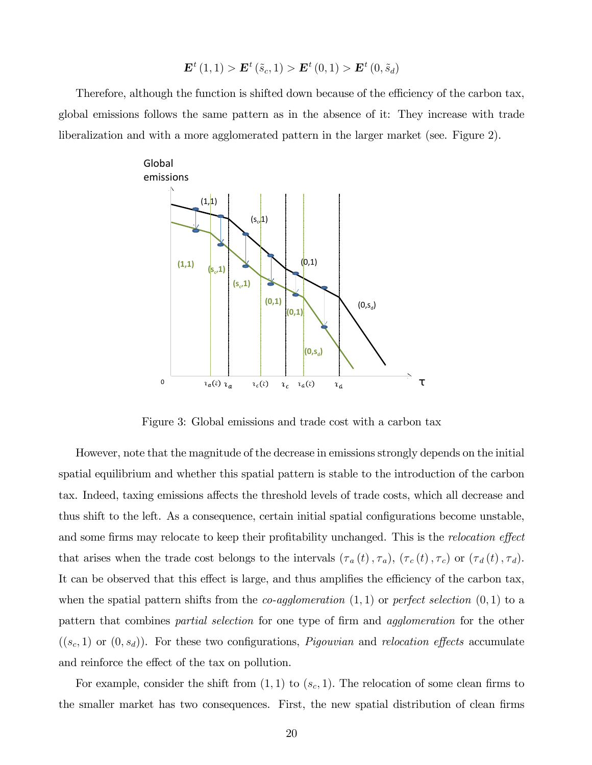$$
\mathbf{E}^{t} (1,1) > \mathbf{E}^{t} (\tilde{s}_{c}, 1) > \mathbf{E}^{t} (0,1) > \mathbf{E}^{t} (0, \tilde{s}_{d})
$$

Therefore, although the function is shifted down because of the efficiency of the carbon tax, global emissions follows the same pattern as in the absence of it: They increase with trade liberalization and with a more agglomerated pattern in the larger market (see. Figure 2).



Figure 3: Global emissions and trade cost with a carbon tax

However, note that the magnitude of the decrease in emissions strongly depends on the initial spatial equilibrium and whether this spatial pattern is stable to the introduction of the carbon tax. Indeed, taxing emissions affects the threshold levels of trade costs, which all decrease and thus shift to the left. As a consequence, certain initial spatial configurations become unstable, and some firms may relocate to keep their profitability unchanged. This is the *relocation effect* that arises when the trade cost belongs to the intervals  $(\tau_a(t), \tau_a)$ ,  $(\tau_c(t), \tau_c)$  or  $(\tau_d(t), \tau_d)$ . It can be observed that this effect is large, and thus amplifies the efficiency of the carbon tax, when the spatial pattern shifts from the *co-agglomeration*  $(1,1)$  or *perfect selection*  $(0,1)$  to a pattern that combines partial selection for one type of firm and agglomeration for the other  $((s_c, 1)$  or  $(0, s_d)$ . For these two configurations, *Pigouvian* and *relocation effects* accumulate and reinforce the effect of the tax on pollution.

For example, consider the shift from  $(1,1)$  to  $(s_c,1)$ . The relocation of some clean firms to the smaller market has two consequences. First, the new spatial distribution of clean firms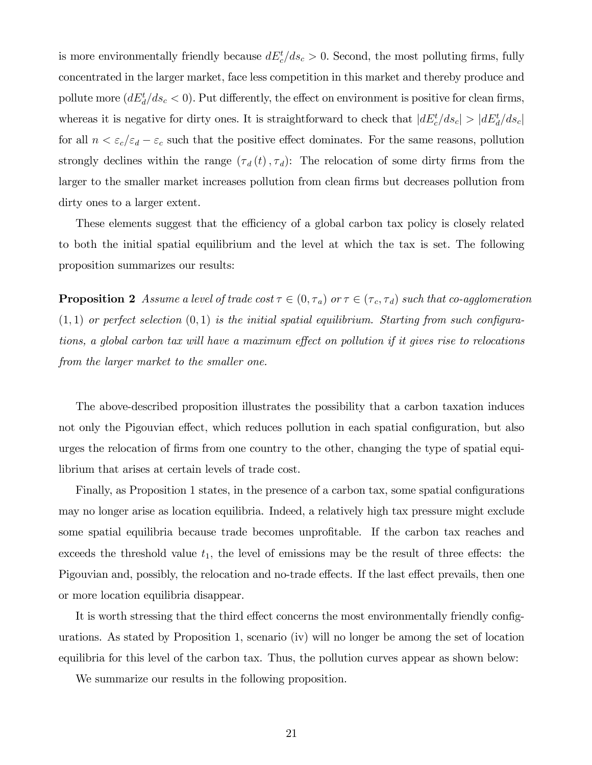is more environmentally friendly because  $dE_c^t/ds_c > 0$ . Second, the most polluting firms, fully concentrated in the larger market, face less competition in this market and thereby produce and pollute more  $(dE_d^t/ds_c < 0)$ . Put differently, the effect on environment is positive for clean firms, whereas it is negative for dirty ones. It is straightforward to check that  $|dE_c^t/ds_c| > |dE_d^t/ds_c|$ for all  $n < \varepsilon_c/\varepsilon_d - \varepsilon_c$  such that the positive effect dominates. For the same reasons, pollution strongly declines within the range  $(\tau_d(t), \tau_d)$ : The relocation of some dirty firms from the larger to the smaller market increases pollution from clean firms but decreases pollution from dirty ones to a larger extent.

These elements suggest that the efficiency of a global carbon tax policy is closely related to both the initial spatial equilibrium and the level at which the tax is set. The following proposition summarizes our results:

**Proposition 2** Assume a level of trade cost  $\tau \in (0, \tau_a)$  or  $\tau \in (\tau_c, \tau_d)$  such that co-agglomeration  $(1, 1)$  or perfect selection  $(0, 1)$  is the initial spatial equilibrium. Starting from such configurations, a global carbon tax will have a maximum effect on pollution if it gives rise to relocations from the larger market to the smaller one.

The above-described proposition illustrates the possibility that a carbon taxation induces not only the Pigouvian effect, which reduces pollution in each spatial configuration, but also urges the relocation of Örms from one country to the other, changing the type of spatial equilibrium that arises at certain levels of trade cost.

Finally, as Proposition 1 states, in the presence of a carbon tax, some spatial configurations may no longer arise as location equilibria. Indeed, a relatively high tax pressure might exclude some spatial equilibria because trade becomes unprofitable. If the carbon tax reaches and exceeds the threshold value  $t_1$ , the level of emissions may be the result of three effects: the Pigouvian and, possibly, the relocation and no-trade effects. If the last effect prevails, then one or more location equilibria disappear.

It is worth stressing that the third effect concerns the most environmentally friendly configurations. As stated by Proposition 1, scenario (iv) will no longer be among the set of location equilibria for this level of the carbon tax. Thus, the pollution curves appear as shown below:

We summarize our results in the following proposition.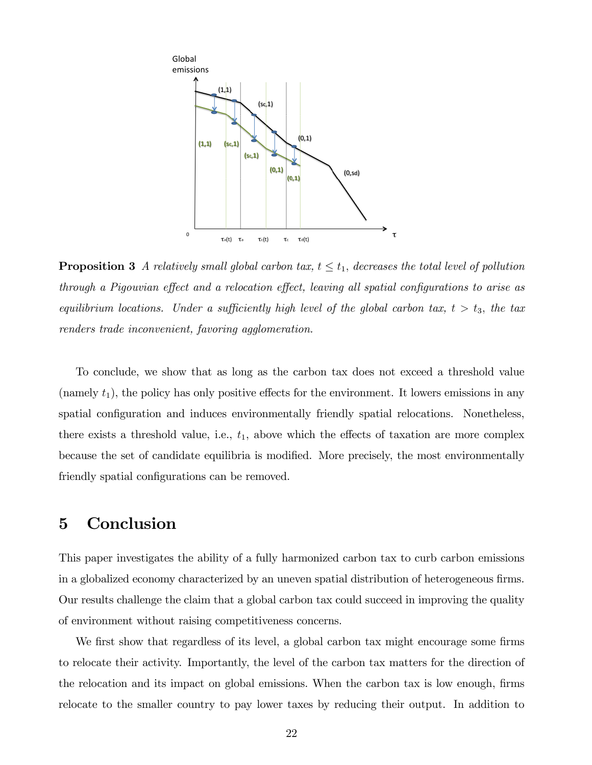

**Proposition 3** A relatively small global carbon tax,  $t \le t_1$ , decreases the total level of pollution through a Pigouvian effect and a relocation effect, leaving all spatial configurations to arise as equilibrium locations. Under a sufficiently high level of the global carbon tax,  $t > t_3$ , the tax renders trade inconvenient, favoring agglomeration.

To conclude, we show that as long as the carbon tax does not exceed a threshold value (namely  $t_1$ ), the policy has only positive effects for the environment. It lowers emissions in any spatial configuration and induces environmentally friendly spatial relocations. Nonetheless, there exists a threshold value, i.e.,  $t_1$ , above which the effects of taxation are more complex because the set of candidate equilibria is modified. More precisely, the most environmentally friendly spatial configurations can be removed.

# 5 Conclusion

This paper investigates the ability of a fully harmonized carbon tax to curb carbon emissions in a globalized economy characterized by an uneven spatial distribution of heterogeneous firms. Our results challenge the claim that a global carbon tax could succeed in improving the quality of environment without raising competitiveness concerns.

We first show that regardless of its level, a global carbon tax might encourage some firms to relocate their activity. Importantly, the level of the carbon tax matters for the direction of the relocation and its impact on global emissions. When the carbon tax is low enough, firms relocate to the smaller country to pay lower taxes by reducing their output. In addition to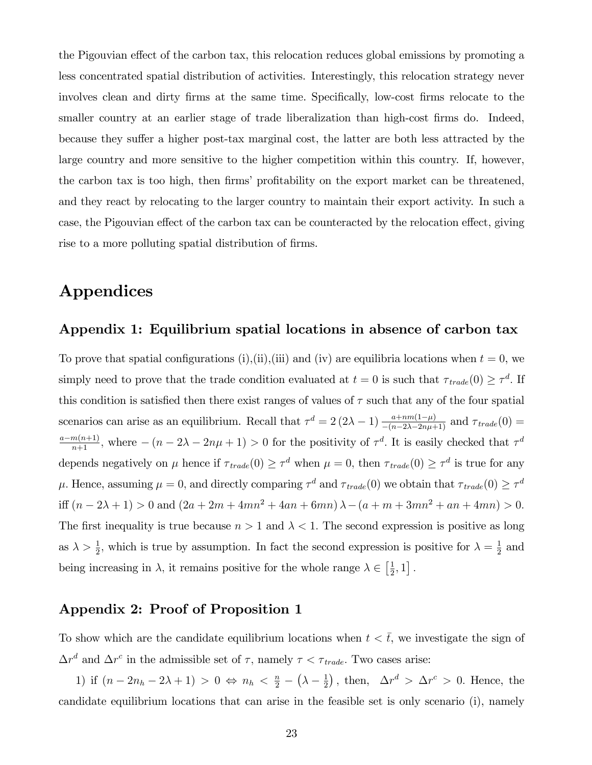the Pigouvian effect of the carbon tax, this relocation reduces global emissions by promoting a less concentrated spatial distribution of activities. Interestingly, this relocation strategy never involves clean and dirty firms at the same time. Specifically, low-cost firms relocate to the smaller country at an earlier stage of trade liberalization than high-cost firms do. Indeed, because they suffer a higher post-tax marginal cost, the latter are both less attracted by the large country and more sensitive to the higher competition within this country. If, however, the carbon tax is too high, then firms' profitability on the export market can be threatened, and they react by relocating to the larger country to maintain their export activity. In such a case, the Pigouvian effect of the carbon tax can be counteracted by the relocation effect, giving rise to a more polluting spatial distribution of firms.

# Appendices

#### Appendix 1: Equilibrium spatial locations in absence of carbon tax

To prove that spatial configurations (i),(ii),(iii) and (iv) are equilibria locations when  $t = 0$ , we simply need to prove that the trade condition evaluated at  $t = 0$  is such that  $\tau_{trade}(0) \geq \tau^d$ . If this condition is satisfied then there exist ranges of values of  $\tau$  such that any of the four spatial scenarios can arise as an equilibrium. Recall that  $\tau^d = 2(2\lambda - 1) \frac{a + nm(1-\mu)}{-(n-2\lambda - 2n\mu + 1)}$  and  $\tau_{trade}(0) =$  $\frac{a-m(n+1)}{n+1}$ , where  $-(n-2\lambda-2n\mu+1) > 0$  for the positivity of  $\tau^d$ . It is easily checked that  $\tau^d$ depends negatively on  $\mu$  hence if  $\tau_{trade}(0) \ge \tau^d$  when  $\mu = 0$ , then  $\tau_{trade}(0) \ge \tau^d$  is true for any  $\mu$ . Hence, assuming  $\mu = 0$ , and directly comparing  $\tau^d$  and  $\tau_{trade}(0)$  we obtain that  $\tau_{trade}(0) \ge \tau^d$ iff  $(n - 2\lambda + 1) > 0$  and  $(2a + 2m + 4mn^2 + 4an + 6mn)\lambda - (a + m + 3mn^2 + an + 4mn) > 0$ . The first inequality is true because  $n > 1$  and  $\lambda < 1$ . The second expression is positive as long as  $\lambda > \frac{1}{2}$ , which is true by assumption. In fact the second expression is positive for  $\lambda = \frac{1}{2}$  $\frac{1}{2}$  and being increasing in  $\lambda$ , it remains positive for the whole range  $\lambda \in \left[\frac{1}{2}\right]$  $\frac{1}{2}, 1]$ .

#### Appendix 2: Proof of Proposition 1

To show which are the candidate equilibrium locations when  $t < \bar{t}$ , we investigate the sign of  $\Delta r^d$  and  $\Delta r^c$  in the admissible set of  $\tau$ , namely  $\tau < \tau_{trade}$ . Two cases arise:

1) if  $(n - 2n_h - 2\lambda + 1) > 0 \Leftrightarrow n_h < \frac{n}{2} - (\lambda - \frac{1}{2})$  $\frac{1}{2}$ , then,  $\Delta r^d > \Delta r^c > 0$ . Hence, the candidate equilibrium locations that can arise in the feasible set is only scenario (i), namely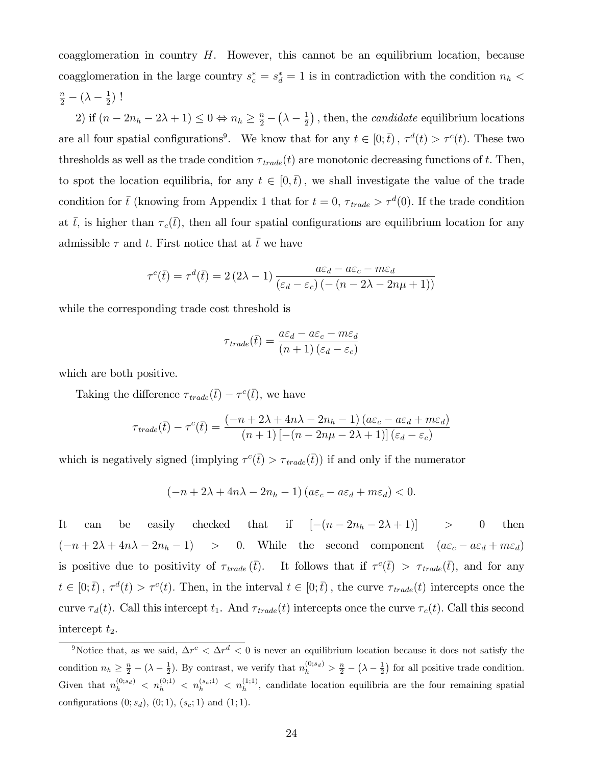coagglomeration in country  $H$ . However, this cannot be an equilibrium location, because coagglomeration in the large country  $s_c^* = s_d^* = 1$  is in contradiction with the condition  $n_h$  <  $\frac{n}{2} - (\lambda - \frac{1}{2})$  $(\frac{1}{2})$ !

2) if  $(n - 2n_h - 2\lambda + 1) \leq 0 \Leftrightarrow n_h \geq \frac{n}{2} - (\lambda - \frac{1}{2})$  $(\frac{1}{2})$ , then, the *candidate* equilibrium locations are all four spatial configurations<sup>9</sup>. We know that for any  $t \in [0; \bar{t})$ ,  $\tau^d(t) > \tau^c(t)$ . These two thresholds as well as the trade condition  $\tau_{trade}(t)$  are monotonic decreasing functions of t. Then, to spot the location equilibria, for any  $t \in [0,\bar{t})$ , we shall investigate the value of the trade condition for  $\bar{t}$  (knowing from Appendix 1 that for  $t = 0$ ,  $\tau_{trade} > \tau^d(0)$ . If the trade condition at  $\bar{t}$ , is higher than  $\tau_c(\bar{t})$ , then all four spatial configurations are equilibrium location for any admissible  $\tau$  and t. First notice that at  $\bar{t}$  we have

$$
\tau^{c}(\bar{t}) = \tau^{d}(\bar{t}) = 2(2\lambda - 1)\frac{a\varepsilon_{d} - a\varepsilon_{c} - m\varepsilon_{d}}{(\varepsilon_{d} - \varepsilon_{c})\left(-\left(n - 2\lambda - 2n\mu + 1\right)\right)}
$$

while the corresponding trade cost threshold is

$$
\tau_{\text{trade}}(\bar{t}) = \frac{a\varepsilon_d - a\varepsilon_c - m\varepsilon_d}{(n+1)(\varepsilon_d - \varepsilon_c)}
$$

which are both positive.

Taking the difference  $\tau_{\text{trade}}(\bar{t}) - \tau^c(\bar{t}),$  we have

$$
\tau_{\text{trade}}(\bar{t}) - \tau^{c}(\bar{t}) = \frac{(-n + 2\lambda + 4n\lambda - 2n_{h} - 1) (a\varepsilon_{c} - a\varepsilon_{d} + m\varepsilon_{d})}{(n + 1) [-(n - 2n\mu - 2\lambda + 1)] (\varepsilon_{d} - \varepsilon_{c})}
$$

which is negatively signed (implying  $\tau^c(\bar{t}) > \tau_{trade}(\bar{t})$ ) if and only if the numerator

$$
(-n+2\lambda+4n\lambda-2n_h-1)(a\varepsilon_c-a\varepsilon_d+m\varepsilon_d)<0.
$$

It can be easily checked that if  $[-(n - 2n_h - 2\lambda + 1)]$  > 0 then  $(-n + 2\lambda + 4n\lambda - 2n_h - 1)$  > 0. While the second component  $(a\varepsilon_c - a\varepsilon_d + m\varepsilon_d)$ is positive due to positivity of  $\tau_{trade}(\bar{t})$ . It follows that if  $\tau^c(\bar{t}) > \tau_{trade}(\bar{t})$ , and for any  $t \in [0;\bar{t})$ ,  $\tau^d(t) > \tau^c(t)$ . Then, in the interval  $t \in [0;\bar{t})$ , the curve  $\tau_{trade}(t)$  intercepts once the curve  $\tau_d(t)$ . Call this intercept  $t_1$ . And  $\tau_{trade}(t)$  intercepts once the curve  $\tau_c(t)$ . Call this second intercept  $t_2$ .

<sup>&</sup>lt;sup>9</sup>Notice that, as we said,  $\Delta r^c < \Delta r^d < 0$  is never an equilibrium location because it does not satisfy the condition  $n_h \geq \frac{n}{2} - (\lambda - \frac{1}{2})$ . By contrast, we verify that  $n_h^{(0; s_d)} > \frac{n}{2} - (\lambda - \frac{1}{2})$  for all positive trade condition. Given that  $n_h^{(0;s_d)} < n_h^{(0;1)} < n_h^{(s_c;1)} < n_h^{(1;1)}$ , candidate location equilibria are the four remaining spatial configurations  $(0; s_d)$ ,  $(0; 1)$ ,  $(s_c; 1)$  and  $(1; 1)$ .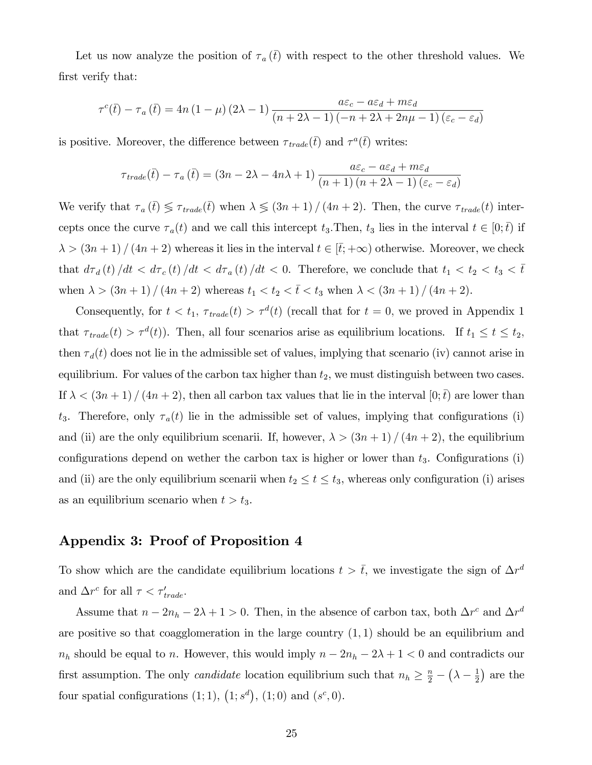Let us now analyze the position of  $\tau_a(\bar{t})$  with respect to the other threshold values. We first verify that:

$$
\tau^{c}(\bar{t}) - \tau_{a}(\bar{t}) = 4n(1-\mu)(2\lambda - 1)\frac{a\varepsilon_{c} - a\varepsilon_{d} + m\varepsilon_{d}}{(n+2\lambda-1)(-n+2\lambda+2n\mu-1)(\varepsilon_{c} - \varepsilon_{d})}
$$

is positive. Moreover, the difference between  $\tau_{\text{trade}}(\bar{t})$  and  $\tau^a(\bar{t})$  writes:

$$
\tau_{trade}(\bar{t}) - \tau_a(\bar{t}) = (3n - 2\lambda - 4n\lambda + 1) \frac{a\epsilon_c - a\epsilon_d + m\epsilon_d}{(n+1)(n+2\lambda-1)(\epsilon_c - \epsilon_d)}
$$

We verify that  $\tau_a(\bar{t}) \leq \tau_{trade}(\bar{t})$  when  $\lambda \leq (3n + 1) / (4n + 2)$ . Then, the curve  $\tau_{trade}(t)$  intercepts once the curve  $\tau_a(t)$  and we call this intercept  $t_3$ . Then,  $t_3$  lies in the interval  $t \in [0;\bar{t})$  if  $\lambda > (3n + 1) / (4n + 2)$  whereas it lies in the interval  $t \in [\bar{t}; +\infty)$  otherwise. Moreover, we check that  $d\tau_d(t)/dt < d\tau_c(t)/dt < d\tau_a(t)/dt < 0$ . Therefore, we conclude that  $t_1 < t_2 < t_3 < \bar{t}$ when  $\lambda > (3n + 1) / (4n + 2)$  whereas  $t_1 < t_2 < \bar{t} < t_3$  when  $\lambda < (3n + 1) / (4n + 2)$ .

Consequently, for  $t < t_1$ ,  $\tau_{trade}(t) > \tau^{d}(t)$  (recall that for  $t = 0$ , we proved in Appendix 1 that  $\tau_{trade}(t) > \tau^{d}(t)$ . Then, all four scenarios arise as equilibrium locations. If  $t_1 \leq t \leq t_2$ , then  $\tau_d(t)$  does not lie in the admissible set of values, implying that scenario (iv) cannot arise in equilibrium. For values of the carbon tax higher than  $t_2$ , we must distinguish between two cases. If  $\lambda < (3n+1)/(4n+2)$ , then all carbon tax values that lie in the interval  $[0;\bar{t})$  are lower than  $t_3$ . Therefore, only  $\tau_a(t)$  lie in the admissible set of values, implying that configurations (i) and (ii) are the only equilibrium scenarii. If, however,  $\lambda > (3n + 1)/(4n + 2)$ , the equilibrium configurations depend on wether the carbon tax is higher or lower than  $t_3$ . Configurations (i) and (ii) are the only equilibrium scenarii when  $t_2 \le t \le t_3$ , whereas only configuration (i) arises as an equilibrium scenario when  $t > t_3$ .

#### Appendix 3: Proof of Proposition 4

To show which are the candidate equilibrium locations  $t > \bar{t}$ , we investigate the sign of  $\Delta r^d$ and  $\Delta r^c$  for all  $\tau < \tau'_{trade}$ .

Assume that  $n - 2n_h - 2\lambda + 1 > 0$ . Then, in the absence of carbon tax, both  $\Delta r^c$  and  $\Delta r^d$ are positive so that coagglomeration in the large country  $(1,1)$  should be an equilibrium and  $n_h$  should be equal to n. However, this would imply  $n - 2n_h - 2\lambda + 1 < 0$  and contradicts our first assumption. The only *candidate* location equilibrium such that  $n_h \geq \frac{n}{2} - (\lambda - \frac{1}{2})$  $(\frac{1}{2})$  are the four spatial configurations  $(1; 1)$ ,  $(1; s<sup>d</sup>)$ ,  $(1; 0)$  and  $(s<sup>c</sup>, 0)$ .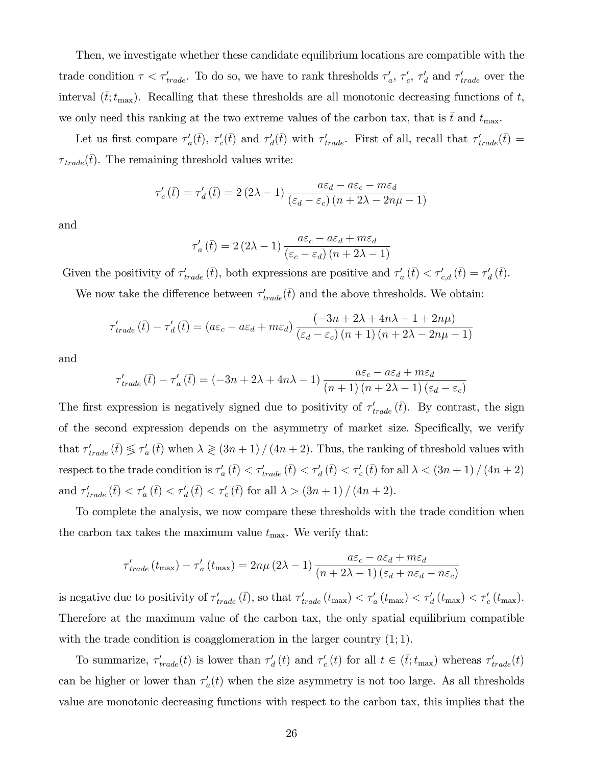Then, we investigate whether these candidate equilibrium locations are compatible with the trade condition  $\tau < \tau'_{trade}$ . To do so, we have to rank thresholds  $\tau'_{a}$ ,  $\tau'_{c}$ ,  $\tau'_{d}$  and  $\tau'_{trade}$  over the interval  $(\bar{t};t_{\max})$ . Recalling that these thresholds are all monotonic decreasing functions of t, we only need this ranking at the two extreme values of the carbon tax, that is  $\bar{t}$  and  $t_{\text{max}}$ .

Let us first compare  $\tau_a'(\bar{t})$ ,  $\tau_c'(\bar{t})$  and  $\tau_d'(\bar{t})$  with  $\tau_{trade}'$ . First of all, recall that  $\tau_{trade}'(\bar{t})$  =  $\tau_{\text{trade}}(\bar{t})$ . The remaining threshold values write:

$$
\tau'_{c}(\bar{t}) = \tau'_{d}(\bar{t}) = 2(2\lambda - 1)\frac{a\varepsilon_{d} - a\varepsilon_{c} - m\varepsilon_{d}}{(\varepsilon_{d} - \varepsilon_{c})\left(n + 2\lambda - 2n\mu - 1\right)}
$$

and

$$
\tau'_{a}(\bar{t}) = 2(2\lambda - 1)\frac{a\varepsilon_c - a\varepsilon_d + m\varepsilon_d}{(\varepsilon_c - \varepsilon_d)(n + 2\lambda - 1)}
$$

Given the positivity of  $\tau'_{trade}(\bar{t})$ , both expressions are positive and  $\tau'_{a}(\bar{t}) < \tau'_{c,d}(\bar{t}) = \tau'_{d}(\bar{t})$ .

We now take the difference between  $\tau'_{trade}(\bar{t})$  and the above thresholds. We obtain:

$$
\tau'_{trade}(\bar{t}) - \tau'_{d}(\bar{t}) = (a\varepsilon_c - a\varepsilon_d + m\varepsilon_d) \frac{(-3n + 2\lambda + 4n\lambda - 1 + 2n\mu)}{(\varepsilon_d - \varepsilon_c)(n + 1)(n + 2\lambda - 2n\mu - 1)}
$$

and

$$
\tau'_{trade}(\bar{t}) - \tau'_{a}(\bar{t}) = (-3n + 2\lambda + 4n\lambda - 1) \frac{a\varepsilon_c - a\varepsilon_d + m\varepsilon_d}{(n+1)(n+2\lambda-1)(\varepsilon_d - \varepsilon_c)}
$$

The first expression is negatively signed due to positivity of  $\tau'_{trade}(\bar{t})$ . By contrast, the sign of the second expression depends on the asymmetry of market size. Specifically, we verify that  $\tau'_{trade}$   $(\bar{t}) \leq \tau'_{a}$   $(\bar{t})$  when  $\lambda \geq (3n + 1) / (4n + 2)$ . Thus, the ranking of threshold values with respect to the trade condition is  $\tau_a'(t) < \tau_{trade}'(t) < \tau_d'(t) < \tau_c'(t)$  for all  $\lambda < (3n + 1) / (4n + 2)$ and  $\tau'_{trade}(\bar{t}) < \tau'_{a}(\bar{t}) < \tau'_{a}(\bar{t}) < \tau'_{c}(\bar{t})$  for all  $\lambda > (3n + 1) / (4n + 2)$ .

To complete the analysis, we now compare these thresholds with the trade condition when the carbon tax takes the maximum value  $t_{\text{max}}$ . We verify that:

$$
\tau'_{trade}(t_{\max}) - \tau'_{a}(t_{\max}) = 2n\mu (2\lambda - 1) \frac{a\varepsilon_c - a\varepsilon_d + m\varepsilon_d}{(n + 2\lambda - 1)(\varepsilon_d + n\varepsilon_d - n\varepsilon_c)}
$$

is negative due to positivity of  $\tau'_{trade}(\bar{t})$ , so that  $\tau'_{trade}(t_{max}) < \tau'_{a}(t_{max}) < \tau'_{d}(t_{max}) < \tau'_{c}(t_{max})$ . Therefore at the maximum value of the carbon tax, the only spatial equilibrium compatible with the trade condition is coagglomeration in the larger country  $(1;1)$ .

To summarize,  $\tau'_{trade}(t)$  is lower than  $\tau'_{d}(t)$  and  $\tau'_{c}(t)$  for all  $t \in (\bar{t}; t_{\max})$  whereas  $\tau'_{trade}(t)$ can be higher or lower than  $\tau_a'(t)$  when the size asymmetry is not too large. As all thresholds value are monotonic decreasing functions with respect to the carbon tax, this implies that the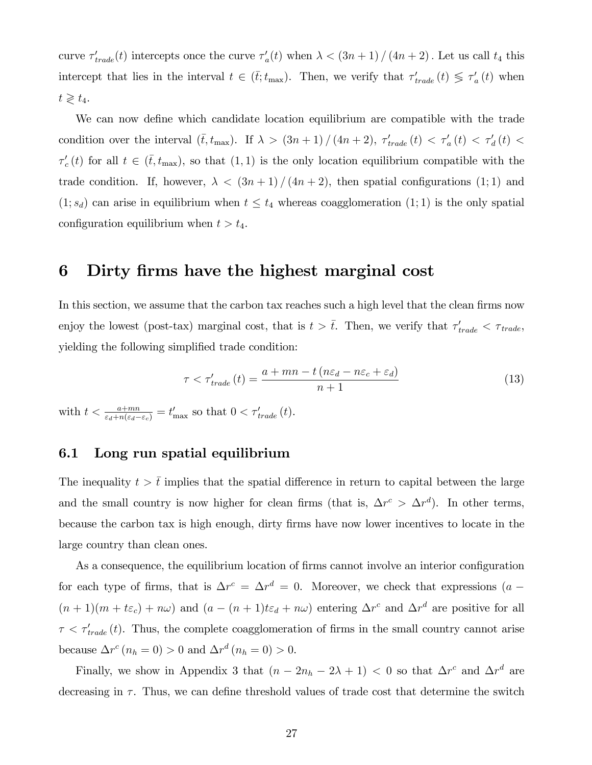curve  $\tau'_{trade}(t)$  intercepts once the curve  $\tau'_{a}(t)$  when  $\lambda < (3n+1) / (4n+2)$ . Let us call  $t_4$  this intercept that lies in the interval  $t \in (\bar{t}; t_{\max})$ . Then, we verify that  $\tau'_{trade}(t) \leq \tau'_{a}(t)$  when  $t \geqslant t_4.$ 

We can now define which candidate location equilibrium are compatible with the trade condition over the interval  $(\bar{t}, t_{\max})$ . If  $\lambda > (3n + 1) / (4n + 2)$ ,  $\tau'_{trade}(t) < \tau'_{a}(t) < \tau'_{d}(t)$  $\tau'_{c}(t)$  for all  $t \in (\bar{t}, t_{\max})$ , so that  $(1, 1)$  is the only location equilibrium compatible with the trade condition. If, however,  $\lambda < (3n+1)/(4n+2)$ , then spatial configurations (1;1) and  $(1; s_d)$  can arise in equilibrium when  $t \leq t_4$  whereas coagglomeration  $(1; 1)$  is the only spatial configuration equilibrium when  $t > t_4$ .

### 6 Dirty Örms have the highest marginal cost

In this section, we assume that the carbon tax reaches such a high level that the clean firms now enjoy the lowest (post-tax) marginal cost, that is  $t > \bar{t}$ . Then, we verify that  $\tau'_{trade} < \tau_{trade}$ , yielding the following simplified trade condition:

$$
\tau < \tau'_{trade}(t) = \frac{a + mn - t\left(n\varepsilon_d - n\varepsilon_c + \varepsilon_d\right)}{n+1} \tag{13}
$$

with  $t < \frac{a+mn}{\varepsilon_d+n(\varepsilon_d-\varepsilon_c)}=t'_{\text{max}}$  so that  $0 < \tau'_{trade}(t)$ .

#### 6.1 Long run spatial equilibrium

The inequality  $t > \bar{t}$  implies that the spatial difference in return to capital between the large and the small country is now higher for clean firms (that is,  $\Delta r^c > \Delta r^d$ ). In other terms, because the carbon tax is high enough, dirty Örms have now lower incentives to locate in the large country than clean ones.

As a consequence, the equilibrium location of firms cannot involve an interior configuration for each type of firms, that is  $\Delta r^c = \Delta r^d = 0$ . Moreover, we check that expressions  $(a (n+1)(m+t\varepsilon_c) + n\omega$  and  $(a - (n+1)t\varepsilon_d + n\omega)$  entering  $\Delta r^c$  and  $\Delta r^d$  are positive for all  $\tau < \tau'_{trade}(t)$ . Thus, the complete coagglomeration of firms in the small country cannot arise because  $\Delta r^c (n_h = 0) > 0$  and  $\Delta r^d (n_h = 0) > 0$ .

Finally, we show in Appendix 3 that  $(n - 2n_h - 2\lambda + 1) < 0$  so that  $\Delta r^c$  and  $\Delta r^d$  are decreasing in  $\tau$ . Thus, we can define threshold values of trade cost that determine the switch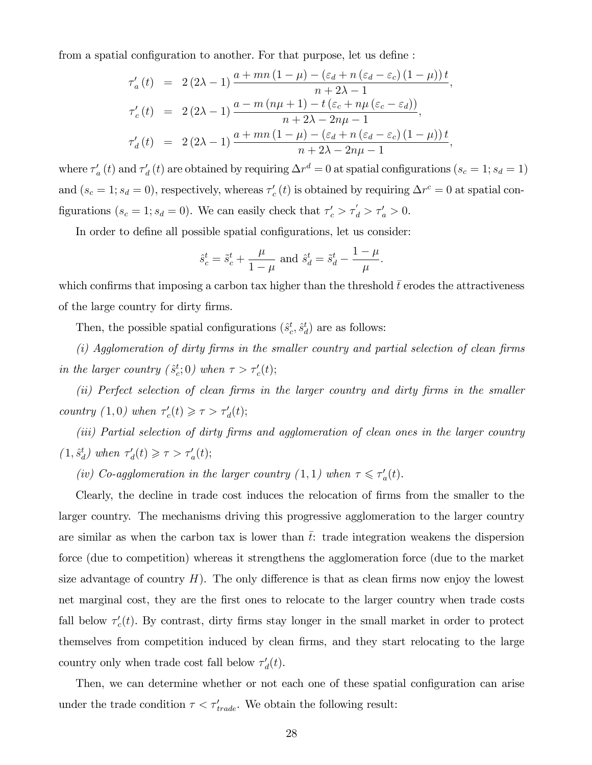from a spatial configuration to another. For that purpose, let us define:

$$
\tau'_a(t) = 2(2\lambda - 1) \frac{a + mn(1 - \mu) - (\varepsilon_d + n(\varepsilon_d - \varepsilon_c)(1 - \mu))t}{n + 2\lambda - 1},
$$
  

$$
\tau'_c(t) = 2(2\lambda - 1) \frac{a - m(n\mu + 1) - t(\varepsilon_c + n\mu(\varepsilon_c - \varepsilon_d))}{n + 2\lambda - 2n\mu - 1},
$$
  

$$
\tau'_d(t) = 2(2\lambda - 1) \frac{a + mn(1 - \mu) - (\varepsilon_d + n(\varepsilon_d - \varepsilon_c)(1 - \mu))t}{n + 2\lambda - 2n\mu - 1},
$$

where  $\tau'_a(t)$  and  $\tau'_d(t)$  are obtained by requiring  $\Delta r^d = 0$  at spatial configurations  $(s_c = 1; s_d = 1)$ and  $(s_c = 1; s_d = 0)$ , respectively, whereas  $\tau'_c(t)$  is obtained by requiring  $\Delta r^c = 0$  at spatial configurations  $(s_c = 1; s_d = 0)$ . We can easily check that  $\tau'_c > \tau'_d > \tau'_a > 0$ .

In order to define all possible spatial configurations, let us consider:

$$
\hat{s}_c^t = \tilde{s}_c^t + \frac{\mu}{1-\mu}
$$
 and  $\hat{s}_d^t = \tilde{s}_d^t - \frac{1-\mu}{\mu}$ .

which confirms that imposing a carbon tax higher than the threshold  $t$  erodes the attractiveness of the large country for dirty firms.

Then, the possible spatial configurations  $(\hat{s}^t_c, \hat{s}^t_d)$  are as follows:

 $(i)$  Agglomeration of dirty firms in the smaller country and partial selection of clean firms in the larger country  $(\hat{s}_c^t; 0)$  when  $\tau > \tau'_c(t);$ 

(ii) Perfect selection of clean firms in the larger country and dirty firms in the smaller country  $(1,0)$  when  $\tau'_c(t) \geq \tau > \tau'_d(t);$ 

(iii) Partial selection of dirty firms and agglomeration of clean ones in the larger country  $(1, \hat{s}^t_d)$  when  $\tau'_d(t) \geq \tau > \tau'_a(t);$ 

(iv) Co-agglomeration in the larger country  $(1,1)$  when  $\tau \leq \tau_a'(t)$ .

Clearly, the decline in trade cost induces the relocation of Örms from the smaller to the larger country. The mechanisms driving this progressive agglomeration to the larger country are similar as when the carbon tax is lower than  $\bar{t}$ : trade integration weakens the dispersion force (due to competition) whereas it strengthens the agglomeration force (due to the market size advantage of country  $H$ ). The only difference is that as clean firms now enjoy the lowest net marginal cost, they are the first ones to relocate to the larger country when trade costs fall below  $\tau_c'(t)$ . By contrast, dirty firms stay longer in the small market in order to protect themselves from competition induced by clean firms, and they start relocating to the large country only when trade cost fall below  $\tau_d'(t)$ .

Then, we can determine whether or not each one of these spatial configuration can arise under the trade condition  $\tau < \tau'_{trade}$ . We obtain the following result: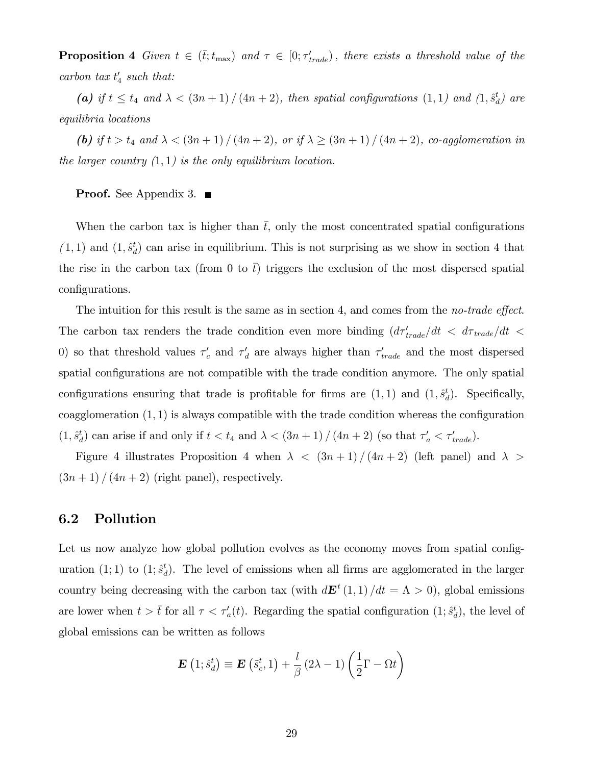**Proposition 4** Given  $t \in (\bar{t}; t_{\max})$  and  $\tau \in [0; \tau'_{trade})$ , there exists a threshold value of the carbon tax  $t'_4$  such that:

(a) if  $t \le t_4$  and  $\lambda < (3n + 1) / (4n + 2)$ , then spatial configurations  $(1, 1)$  and  $(1, \hat{s}^t_d)$  are equilibria locations

(b) if  $t > t_4$  and  $\lambda < (3n + 1) / (4n + 2)$ , or if  $\lambda \ge (3n + 1) / (4n + 2)$ , co-agglomeration in the larger country  $(1, 1)$  is the only equilibrium location.

**Proof.** See Appendix 3. ■

When the carbon tax is higher than  $\bar{t}$ , only the most concentrated spatial configurations  $(1, 1)$  and  $(1, \hat{s}^t_d)$  can arise in equilibrium. This is not surprising as we show in section 4 that the rise in the carbon tax (from 0 to  $\bar{t}$ ) triggers the exclusion of the most dispersed spatial configurations.

The intuition for this result is the same as in section 4, and comes from the *no-trade effect*. The carbon tax renders the trade condition even more binding  $\left(d\tau'_{trade}/dt \right) < d\tau_{trade}/dt$ 0) so that threshold values  $\tau_c'$  and  $\tau_d'$  are always higher than  $\tau_{trade}'$  and the most dispersed spatial configurations are not compatible with the trade condition anymore. The only spatial configurations ensuring that trade is profitable for firms are  $(1, 1)$  and  $(1, \hat{s}^t_d)$ . Specifically, coagglomeration  $(1, 1)$  is always compatible with the trade condition whereas the configuration  $(1, \hat{s}^t_d)$  can arise if and only if  $t < t_4$  and  $\lambda < (3n + 1) / (4n + 2)$  (so that  $\tau'_a < \tau'_{trade}$ ).

Figure 4 illustrates Proposition 4 when  $\lambda \langle (3n+1) / (4n+2)$  (left panel) and  $\lambda >$  $(3n + 1) / (4n + 2)$  (right panel), respectively.

#### 6.2 Pollution

Let us now analyze how global pollution evolves as the economy moves from spatial configuration (1; 1) to (1;  $\hat{s}^t_d$ ). The level of emissions when all firms are agglomerated in the larger country being decreasing with the carbon tax (with  $d\mathbf{E}^{t}(1,1)/dt = \Lambda > 0$ ), global emissions are lower when  $t > \bar{t}$  for all  $\tau < \tau_a'(t)$ . Regarding the spatial configuration  $(1; \hat{s}_d^t)$ , the level of global emissions can be written as follows

$$
\mathbf{E}(1; \hat{s}_d^t) \equiv \mathbf{E}(\tilde{s}_c^t, 1) + \frac{l}{\beta} (2\lambda - 1) \left(\frac{1}{2}\Gamma - \Omega t\right)
$$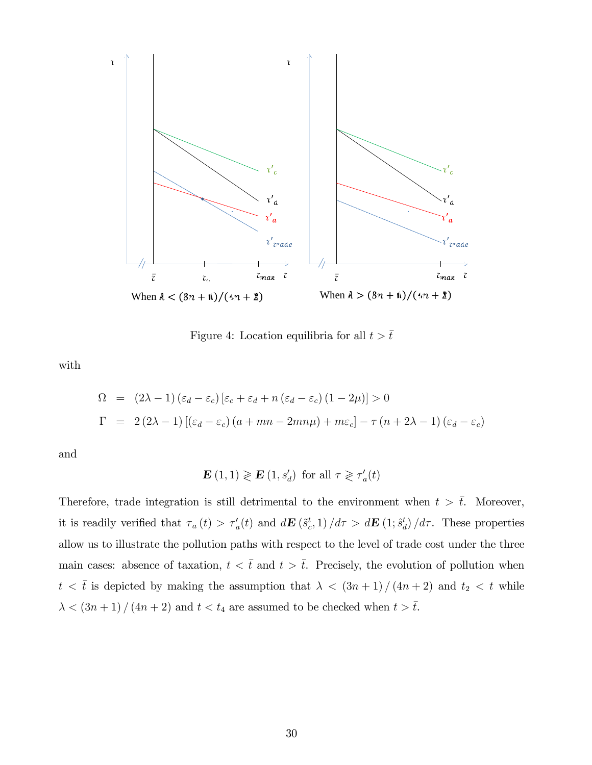

Figure 4: Location equilibria for all  $t > \bar{t}$ 

with

$$
\Omega = (2\lambda - 1) (\varepsilon_d - \varepsilon_c) [\varepsilon_c + \varepsilon_d + n (\varepsilon_d - \varepsilon_c) (1 - 2\mu)] > 0
$$
  
\n
$$
\Gamma = 2 (2\lambda - 1) [(\varepsilon_d - \varepsilon_c) (a + mn - 2mn\mu) + m\varepsilon_c] - \tau (n + 2\lambda - 1) (\varepsilon_d - \varepsilon_c)
$$

and

$$
\mathbf{E}(1,1) \geqslant \mathbf{E}(1,s_d') \text{ for all } \tau \geqslant \tau_a'(t)
$$

Therefore, trade integration is still detrimental to the environment when  $t > \bar{t}$ . Moreover, it is readily verified that  $\tau_a(t) > \tau_a'(t)$  and  $d\mathbf{E}(\tilde{s}_c^t, 1) / d\tau > d\mathbf{E}(1; \hat{s}_d^t) / d\tau$ . These properties allow us to illustrate the pollution paths with respect to the level of trade cost under the three main cases: absence of taxation,  $t < \bar{t}$  and  $t > \bar{t}$ . Precisely, the evolution of pollution when  $t < \bar{t}$  is depicted by making the assumption that  $\lambda < (3n+1)/(4n+2)$  and  $t_2 < t$  while  $\lambda < (3n + 1) / (4n + 2)$  and  $t < t_4$  are assumed to be checked when  $t > \overline{t}$ .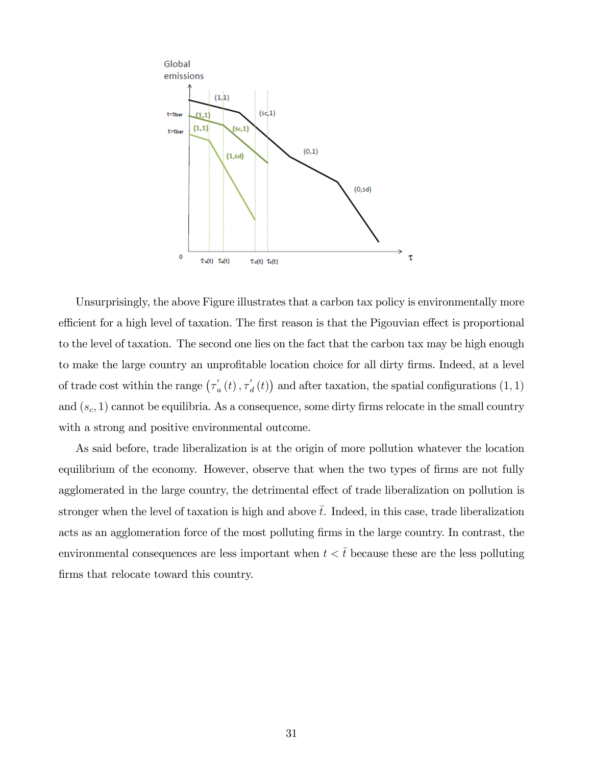

Unsurprisingly, the above Figure illustrates that a carbon tax policy is environmentally more efficient for a high level of taxation. The first reason is that the Pigouvian effect is proportional to the level of taxation. The second one lies on the fact that the carbon tax may be high enough to make the large country an unprofitable location choice for all dirty firms. Indeed, at a level of trade cost within the range  $(\tau'_{a}(t), \tau'_{d}(t))$  and after taxation, the spatial configurations  $(1, 1)$ and  $(s_c, 1)$  cannot be equilibria. As a consequence, some dirty firms relocate in the small country with a strong and positive environmental outcome.

As said before, trade liberalization is at the origin of more pollution whatever the location equilibrium of the economy. However, observe that when the two types of firms are not fully agglomerated in the large country, the detrimental effect of trade liberalization on pollution is stronger when the level of taxation is high and above  $\bar{t}$ . Indeed, in this case, trade liberalization acts as an agglomeration force of the most polluting firms in the large country. In contrast, the environmental consequences are less important when  $t < \bar{t}$  because these are the less polluting firms that relocate toward this country.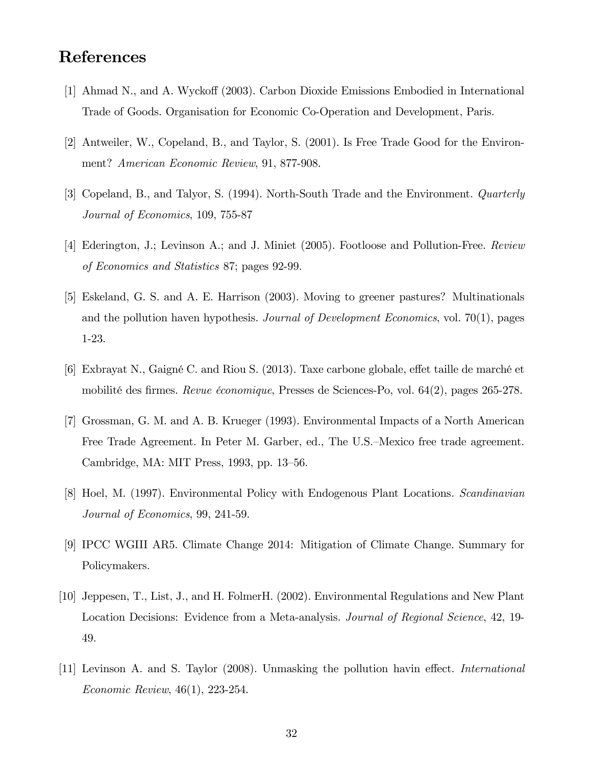# References

- [1] Ahmad N., and A. Wyckoff (2003). Carbon Dioxide Emissions Embodied in International Trade of Goods. Organisation for Economic Co-Operation and Development, Paris.
- [2] Antweiler, W., Copeland, B., and Taylor, S. (2001). Is Free Trade Good for the Environment? American Economic Review, 91, 877-908.
- [3] Copeland, B., and Talyor, S. (1994). North-South Trade and the Environment. Quarterly Journal of Economics, 109, 755-87
- [4] Ederington, J.; Levinson A.; and J. Miniet (2005). Footloose and Pollution-Free. Review of Economics and Statistics 87; pages 92-99.
- [5] Eskeland, G. S. and A. E. Harrison (2003). Moving to greener pastures? Multinationals and the pollution haven hypothesis. Journal of Development Economics, vol. 70(1), pages 1-23.
- [6] Exbrayat N., Gaigné C. and Riou S. (2013). Taxe carbone globale, effet taille de marché et mobilité des firmes. Revue économique, Presses de Sciences-Po, vol. 64(2), pages 265-278.
- [7] Grossman, G. M. and A. B. Krueger (1993). Environmental Impacts of a North American Free Trade Agreement. In Peter M. Garber, ed., The U.S.–Mexico free trade agreement. Cambridge, MA: MIT Press, 1993, pp. 13–56.
- [8] Hoel, M. (1997). Environmental Policy with Endogenous Plant Locations. Scandinavian Journal of Economics, 99, 241-59.
- [9] IPCC WGIII AR5. Climate Change 2014: Mitigation of Climate Change. Summary for Policymakers.
- [10] Jeppesen, T., List, J., and H. FolmerH. (2002). Environmental Regulations and New Plant Location Decisions: Evidence from a Meta-analysis. *Journal of Regional Science*, 42, 19-49.
- [11] Levinson A. and S. Taylor (2008). Unmasking the pollution havin effect. *International* Economic Review, 46(1), 223-254.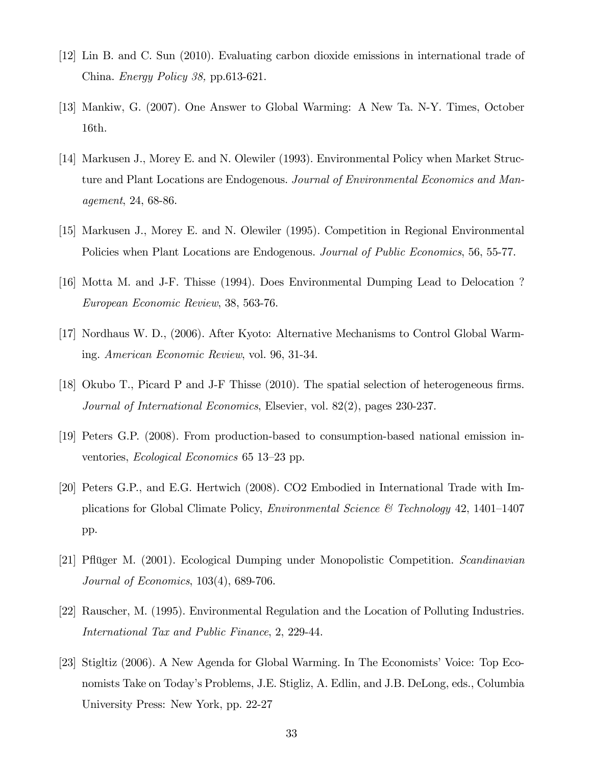- [12] Lin B. and C. Sun (2010). Evaluating carbon dioxide emissions in international trade of China. Energy Policy 38, pp.613-621.
- [13] Mankiw, G. (2007). One Answer to Global Warming: A New Ta. N-Y. Times, October 16th.
- [14] Markusen J., Morey E. and N. Olewiler (1993). Environmental Policy when Market Structure and Plant Locations are Endogenous. Journal of Environmental Economics and Management, 24, 68-86.
- [15] Markusen J., Morey E. and N. Olewiler (1995). Competition in Regional Environmental Policies when Plant Locations are Endogenous. Journal of Public Economics, 56, 55-77.
- [16] Motta M. and J-F. Thisse (1994). Does Environmental Dumping Lead to Delocation ? European Economic Review, 38, 563-76.
- [17] Nordhaus W. D., (2006). After Kyoto: Alternative Mechanisms to Control Global Warming. American Economic Review, vol. 96, 31-34.
- [18] Okubo T., Picard P and J-F Thisse  $(2010)$ . The spatial selection of heterogeneous firms. Journal of International Economics, Elsevier, vol. 82(2), pages 230-237.
- [19] Peters G.P. (2008). From production-based to consumption-based national emission inventories, Ecological Economics 65 13–23 pp.
- [20] Peters G.P., and E.G. Hertwich (2008). CO2 Embodied in International Trade with Implications for Global Climate Policy, *Environmental Science* & Technology 42, 1401–1407 pp.
- [21] Pflüger M. (2001). Ecological Dumping under Monopolistic Competition. Scandinavian Journal of Economics, 103(4), 689-706.
- [22] Rauscher, M. (1995). Environmental Regulation and the Location of Polluting Industries. International Tax and Public Finance, 2, 229-44.
- [23] Stigltiz (2006). A New Agenda for Global Warming. In The Economists' Voice: Top Economists Take on Todayís Problems, J.E. Stigliz, A. Edlin, and J.B. DeLong, eds., Columbia University Press: New York, pp. 22-27